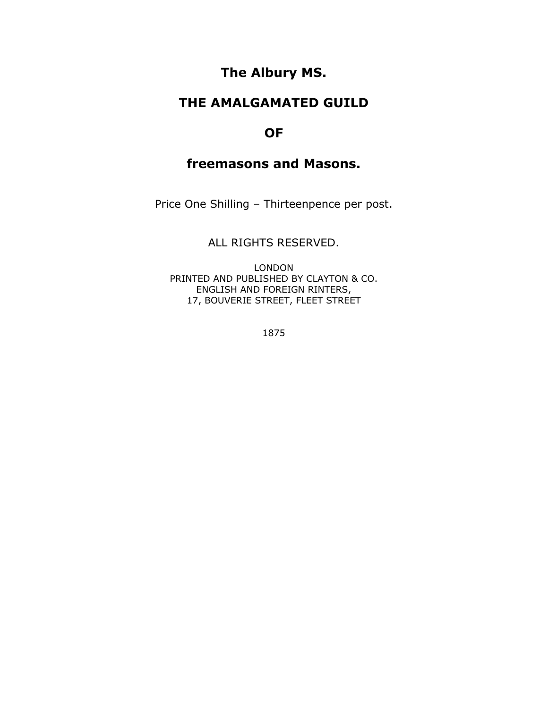# **The Albury MS.**

# **THE AMALGAMATED GUILD**

### **OF**

# **freemasons and Masons.**

Price One Shilling – Thirteenpence per post.

### ALL RIGHTS RESERVED.

LONDON PRINTED AND PUBLISHED BY CLAYTON & CO. ENGLISH AND FOREIGN RINTERS, 17, BOUVERIE STREET, FLEET STREET

1875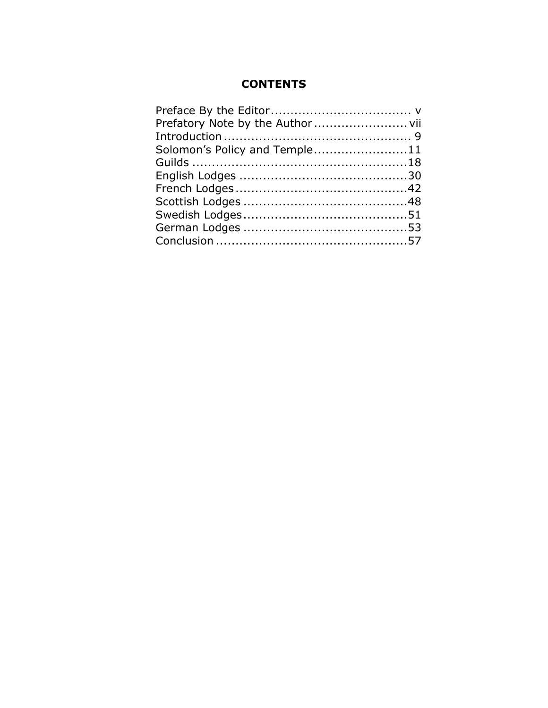# **CONTENTS**

| Solomon's Policy and Temple11 |  |
|-------------------------------|--|
|                               |  |
|                               |  |
|                               |  |
|                               |  |
|                               |  |
|                               |  |
|                               |  |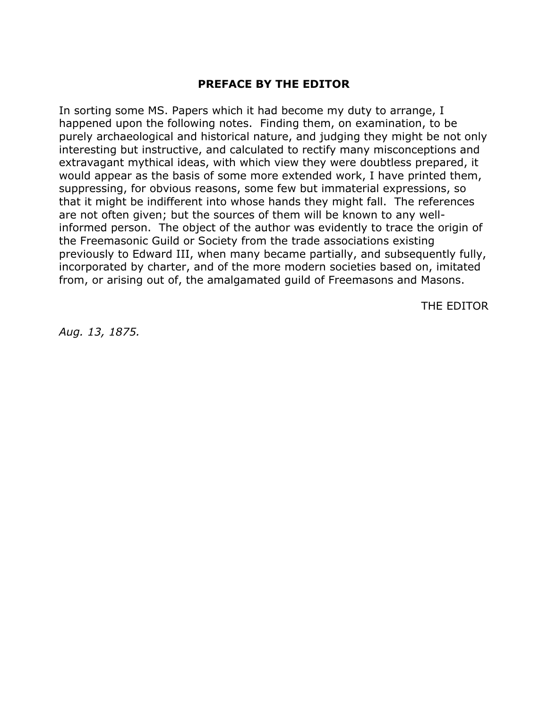#### **PREFACE BY THE EDITOR**

In sorting some MS. Papers which it had become my duty to arrange, I happened upon the following notes. Finding them, on examination, to be purely archaeological and historical nature, and judging they might be not only interesting but instructive, and calculated to rectify many misconceptions and extravagant mythical ideas, with which view they were doubtless prepared, it would appear as the basis of some more extended work, I have printed them, suppressing, for obvious reasons, some few but immaterial expressions, so that it might be indifferent into whose hands they might fall. The references are not often given; but the sources of them will be known to any wellinformed person. The object of the author was evidently to trace the origin of the Freemasonic Guild or Society from the trade associations existing previously to Edward III, when many became partially, and subsequently fully, incorporated by charter, and of the more modern societies based on, imitated from, or arising out of, the amalgamated guild of Freemasons and Masons.

THE EDITOR

*Aug. 13, 1875.*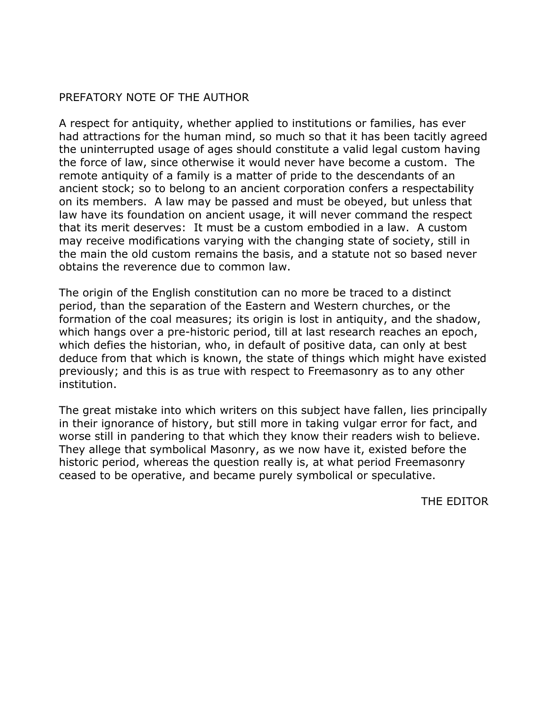# PREFATORY NOTE OF THE AUTHOR

A respect for antiquity, whether applied to institutions or families, has ever had attractions for the human mind, so much so that it has been tacitly agreed the uninterrupted usage of ages should constitute a valid legal custom having the force of law, since otherwise it would never have become a custom. The remote antiquity of a family is a matter of pride to the descendants of an ancient stock; so to belong to an ancient corporation confers a respectability on its members. A law may be passed and must be obeyed, but unless that law have its foundation on ancient usage, it will never command the respect that its merit deserves: It must be a custom embodied in a law. A custom may receive modifications varying with the changing state of society, still in the main the old custom remains the basis, and a statute not so based never obtains the reverence due to common law.

The origin of the English constitution can no more be traced to a distinct period, than the separation of the Eastern and Western churches, or the formation of the coal measures; its origin is lost in antiquity, and the shadow, which hangs over a pre-historic period, till at last research reaches an epoch, which defies the historian, who, in default of positive data, can only at best deduce from that which is known, the state of things which might have existed previously; and this is as true with respect to Freemasonry as to any other institution.

The great mistake into which writers on this subject have fallen, lies principally in their ignorance of history, but still more in taking vulgar error for fact, and worse still in pandering to that which they know their readers wish to believe. They allege that symbolical Masonry, as we now have it, existed before the historic period, whereas the question really is, at what period Freemasonry ceased to be operative, and became purely symbolical or speculative.

THE EDITOR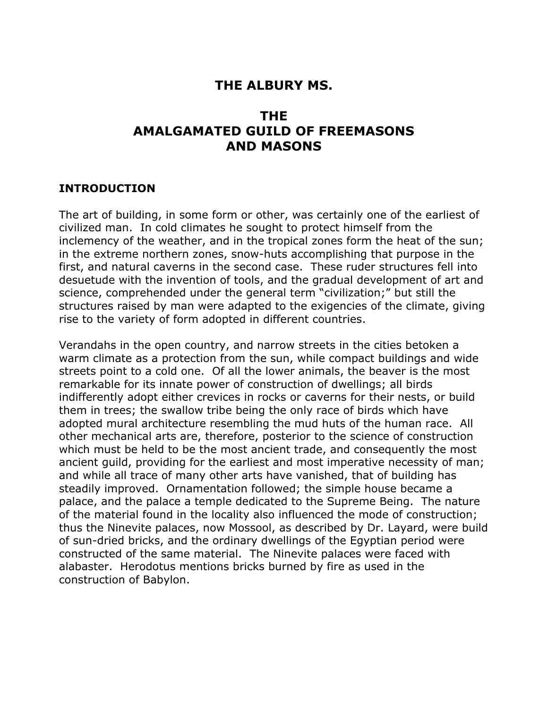# **THE ALBURY MS.**

# **THE AMALGAMATED GUILD OF FREEMASONS AND MASONS**

#### **INTRODUCTION**

The art of building, in some form or other, was certainly one of the earliest of civilized man. In cold climates he sought to protect himself from the inclemency of the weather, and in the tropical zones form the heat of the sun; in the extreme northern zones, snow-huts accomplishing that purpose in the first, and natural caverns in the second case. These ruder structures fell into desuetude with the invention of tools, and the gradual development of art and science, comprehended under the general term "civilization;" but still the structures raised by man were adapted to the exigencies of the climate, giving rise to the variety of form adopted in different countries.

Verandahs in the open country, and narrow streets in the cities betoken a warm climate as a protection from the sun, while compact buildings and wide streets point to a cold one. Of all the lower animals, the beaver is the most remarkable for its innate power of construction of dwellings; all birds indifferently adopt either crevices in rocks or caverns for their nests, or build them in trees; the swallow tribe being the only race of birds which have adopted mural architecture resembling the mud huts of the human race. All other mechanical arts are, therefore, posterior to the science of construction which must be held to be the most ancient trade, and consequently the most ancient guild, providing for the earliest and most imperative necessity of man; and while all trace of many other arts have vanished, that of building has steadily improved. Ornamentation followed; the simple house became a palace, and the palace a temple dedicated to the Supreme Being. The nature of the material found in the locality also influenced the mode of construction; thus the Ninevite palaces, now Mossool, as described by Dr. Layard, were build of sun-dried bricks, and the ordinary dwellings of the Egyptian period were constructed of the same material. The Ninevite palaces were faced with alabaster. Herodotus mentions bricks burned by fire as used in the construction of Babylon.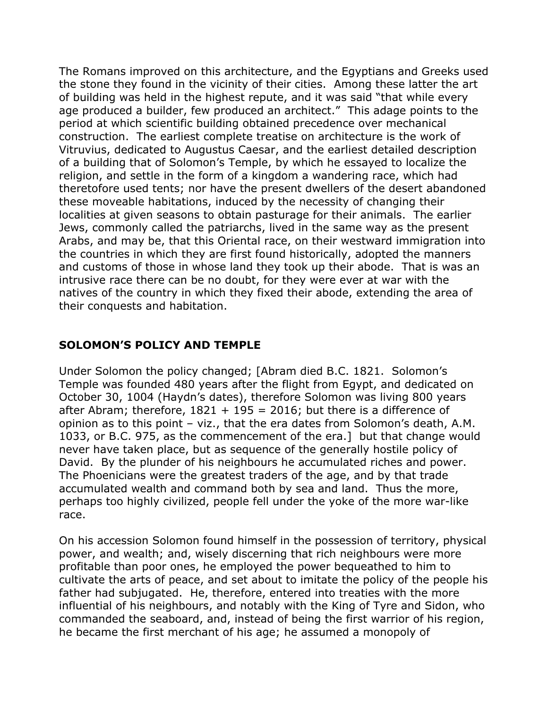The Romans improved on this architecture, and the Egyptians and Greeks used the stone they found in the vicinity of their cities. Among these latter the art of building was held in the highest repute, and it was said "that while every age produced a builder, few produced an architect." This adage points to the period at which scientific building obtained precedence over mechanical construction. The earliest complete treatise on architecture is the work of Vitruvius, dedicated to Augustus Caesar, and the earliest detailed description of a building that of Solomon's Temple, by which he essayed to localize the religion, and settle in the form of a kingdom a wandering race, which had theretofore used tents; nor have the present dwellers of the desert abandoned these moveable habitations, induced by the necessity of changing their localities at given seasons to obtain pasturage for their animals. The earlier Jews, commonly called the patriarchs, lived in the same way as the present Arabs, and may be, that this Oriental race, on their westward immigration into the countries in which they are first found historically, adopted the manners and customs of those in whose land they took up their abode. That is was an intrusive race there can be no doubt, for they were ever at war with the natives of the country in which they fixed their abode, extending the area of their conquests and habitation.

# **SOLOMON'S POLICY AND TEMPLE**

Under Solomon the policy changed; [Abram died B.C. 1821. Solomon's Temple was founded 480 years after the flight from Egypt, and dedicated on October 30, 1004 (Haydn's dates), therefore Solomon was living 800 years after Abram; therefore,  $1821 + 195 = 2016$ ; but there is a difference of opinion as to this point – viz., that the era dates from Solomon's death, A.M. 1033, or B.C. 975, as the commencement of the era.] but that change would never have taken place, but as sequence of the generally hostile policy of David. By the plunder of his neighbours he accumulated riches and power. The Phoenicians were the greatest traders of the age, and by that trade accumulated wealth and command both by sea and land. Thus the more, perhaps too highly civilized, people fell under the yoke of the more war-like race.

On his accession Solomon found himself in the possession of territory, physical power, and wealth; and, wisely discerning that rich neighbours were more profitable than poor ones, he employed the power bequeathed to him to cultivate the arts of peace, and set about to imitate the policy of the people his father had subjugated. He, therefore, entered into treaties with the more influential of his neighbours, and notably with the King of Tyre and Sidon, who commanded the seaboard, and, instead of being the first warrior of his region, he became the first merchant of his age; he assumed a monopoly of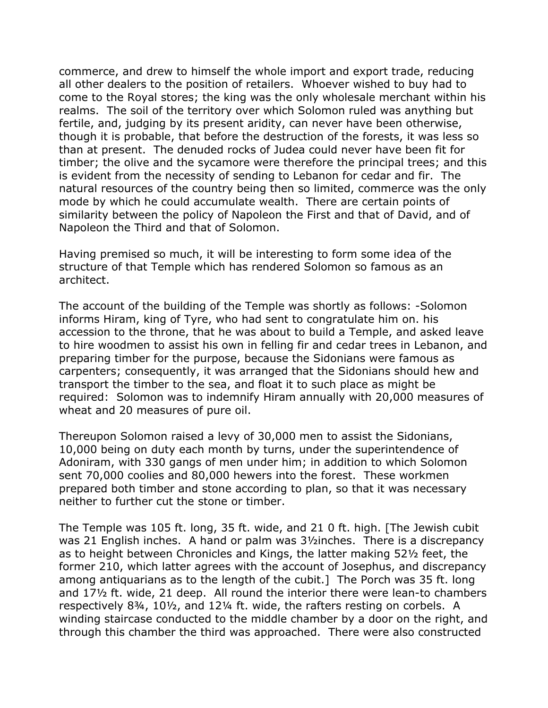commerce, and drew to himself the whole import and export trade, reducing all other dealers to the position of retailers. Whoever wished to buy had to come to the Royal stores; the king was the only wholesale merchant within his realms. The soil of the territory over which Solomon ruled was anything but fertile, and, judging by its present aridity, can never have been otherwise, though it is probable, that before the destruction of the forests, it was less so than at present. The denuded rocks of Judea could never have been fit for timber; the olive and the sycamore were therefore the principal trees; and this is evident from the necessity of sending to Lebanon for cedar and fir. The natural resources of the country being then so limited, commerce was the only mode by which he could accumulate wealth. There are certain points of similarity between the policy of Napoleon the First and that of David, and of Napoleon the Third and that of Solomon.

Having premised so much, it will be interesting to form some idea of the structure of that Temple which has rendered Solomon so famous as an architect.

The account of the building of the Temple was shortly as follows: -Solomon informs Hiram, king of Tyre, who had sent to congratulate him on. his accession to the throne, that he was about to build a Temple, and asked leave to hire woodmen to assist his own in felling fir and cedar trees in Lebanon, and preparing timber for the purpose, because the Sidonians were famous as carpenters; consequently, it was arranged that the Sidonians should hew and transport the timber to the sea, and float it to such place as might be required: Solomon was to indemnify Hiram annually with 20,000 measures of wheat and 20 measures of pure oil.

Thereupon Solomon raised a levy of 30,000 men to assist the Sidonians, 10,000 being on duty each month by turns, under the superintendence of Adoniram, with 330 gangs of men under him; in addition to which Solomon sent 70,000 coolies and 80,000 hewers into the forest. These workmen prepared both timber and stone according to plan, so that it was necessary neither to further cut the stone or timber.

The Temple was 105 ft. long, 35 ft. wide, and 21 0 ft. high. [The Jewish cubit was 21 English inches. A hand or palm was 3½inches. There is a discrepancy as to height between Chronicles and Kings, the latter making 52½ feet, the former 210, which latter agrees with the account of Josephus, and discrepancy among antiquarians as to the length of the cubit.] The Porch was 35 ft. long and 17½ ft. wide, 21 deep. All round the interior there were lean-to chambers respectively 8¾, 10½, and 12¼ ft. wide, the rafters resting on corbels. A winding staircase conducted to the middle chamber by a door on the right, and through this chamber the third was approached. There were also constructed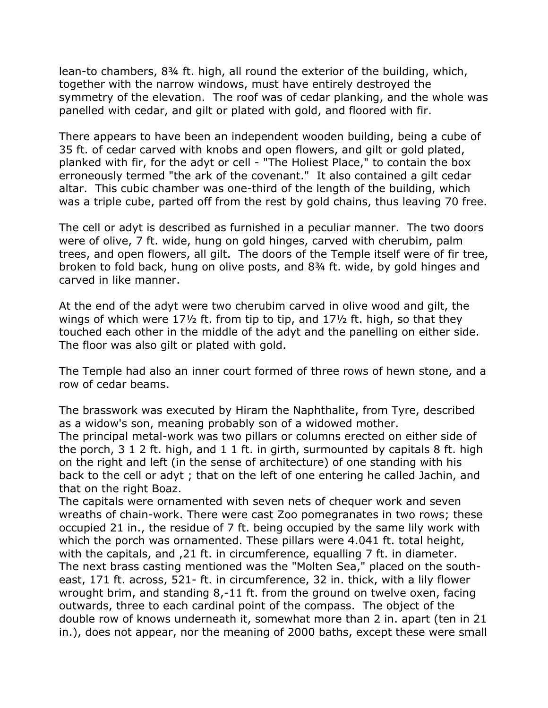lean-to chambers, 8¾ ft. high, all round the exterior of the building, which, together with the narrow windows, must have entirely destroyed the symmetry of the elevation. The roof was of cedar planking, and the whole was panelled with cedar, and gilt or plated with gold, and floored with fir.

There appears to have been an independent wooden building, being a cube of 35 ft. of cedar carved with knobs and open flowers, and gilt or gold plated, planked with fir, for the adyt or cell - "The Holiest Place," to contain the box erroneously termed "the ark of the covenant." It also contained a gilt cedar altar. This cubic chamber was one-third of the length of the building, which was a triple cube, parted off from the rest by gold chains, thus leaving 70 free.

The cell or adyt is described as furnished in a peculiar manner. The two doors were of olive, 7 ft. wide, hung on gold hinges, carved with cherubim, palm trees, and open flowers, all gilt. The doors of the Temple itself were of fir tree, broken to fold back, hung on olive posts, and 8¾ ft. wide, by gold hinges and carved in like manner.

At the end of the adyt were two cherubim carved in olive wood and gilt, the wings of which were 17½ ft. from tip to tip, and 17½ ft. high, so that they touched each other in the middle of the adyt and the panelling on either side. The floor was also gilt or plated with gold.

The Temple had also an inner court formed of three rows of hewn stone, and a row of cedar beams.

The brasswork was executed by Hiram the Naphthalite, from Tyre, described as a widow's son, meaning probably son of a widowed mother. The principal metal-work was two pillars or columns erected on either side of the porch, 3 1 2 ft. high, and 1 1 ft. in girth, surmounted by capitals 8 ft. high on the right and left (in the sense of architecture) of one standing with his back to the cell or adyt ; that on the left of one entering he called Jachin, and

that on the right Boaz.

The capitals were ornamented with seven nets of chequer work and seven wreaths of chain-work. There were cast Zoo pomegranates in two rows; these occupied 21 in., the residue of 7 ft. being occupied by the same lily work with which the porch was ornamented. These pillars were 4.041 ft. total height, with the capitals, and ,21 ft. in circumference, equalling 7 ft. in diameter. The next brass casting mentioned was the "Molten Sea," placed on the southeast, 171 ft. across, 521- ft. in circumference, 32 in. thick, with a lily flower wrought brim, and standing 8,-11 ft. from the ground on twelve oxen, facing outwards, three to each cardinal point of the compass. The object of the double row of knows underneath it, somewhat more than 2 in. apart (ten in 21 in.), does not appear, nor the meaning of 2000 baths, except these were small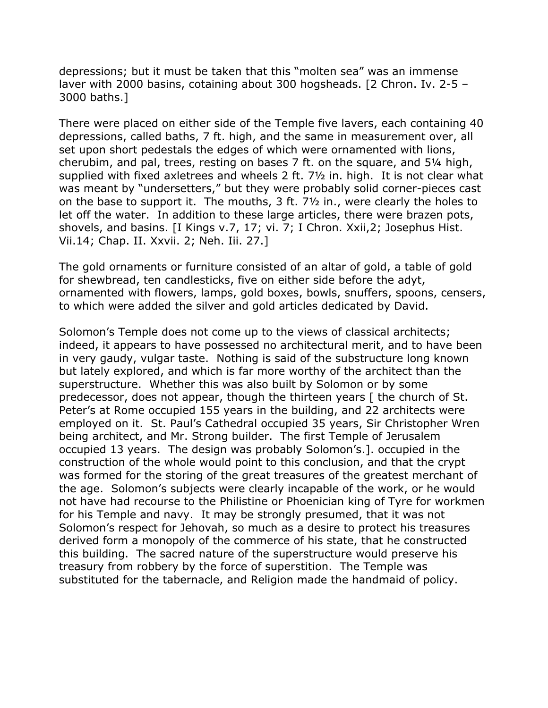depressions; but it must be taken that this "molten sea" was an immense laver with 2000 basins, cotaining about 300 hogsheads. [2 Chron. Iv. 2-5 – 3000 baths.]

There were placed on either side of the Temple five lavers, each containing 40 depressions, called baths, 7 ft. high, and the same in measurement over, all set upon short pedestals the edges of which were ornamented with lions, cherubim, and pal, trees, resting on bases 7 ft. on the square, and 5¼ high, supplied with fixed axletrees and wheels 2 ft. 7½ in. high. It is not clear what was meant by "undersetters," but they were probably solid corner-pieces cast on the base to support it. The mouths, 3 ft. 7½ in., were clearly the holes to let off the water. In addition to these large articles, there were brazen pots, shovels, and basins. [I Kings v.7, 17; vi. 7; I Chron. Xxii,2; Josephus Hist. Vii.14; Chap. II. Xxvii. 2; Neh. Iii. 27.]

The gold ornaments or furniture consisted of an altar of gold, a table of gold for shewbread, ten candlesticks, five on either side before the adyt, ornamented with flowers, lamps, gold boxes, bowls, snuffers, spoons, censers, to which were added the silver and gold articles dedicated by David.

Solomon's Temple does not come up to the views of classical architects; indeed, it appears to have possessed no architectural merit, and to have been in very gaudy, vulgar taste. Nothing is said of the substructure long known but lately explored, and which is far more worthy of the architect than the superstructure. Whether this was also built by Solomon or by some predecessor, does not appear, though the thirteen years [ the church of St. Peter's at Rome occupied 155 years in the building, and 22 architects were employed on it. St. Paul's Cathedral occupied 35 years, Sir Christopher Wren being architect, and Mr. Strong builder. The first Temple of Jerusalem occupied 13 years. The design was probably Solomon's.]. occupied in the construction of the whole would point to this conclusion, and that the crypt was formed for the storing of the great treasures of the greatest merchant of the age. Solomon's subjects were clearly incapable of the work, or he would not have had recourse to the Philistine or Phoenician king of Tyre for workmen for his Temple and navy. It may be strongly presumed, that it was not Solomon's respect for Jehovah, so much as a desire to protect his treasures derived form a monopoly of the commerce of his state, that he constructed this building. The sacred nature of the superstructure would preserve his treasury from robbery by the force of superstition. The Temple was substituted for the tabernacle, and Religion made the handmaid of policy.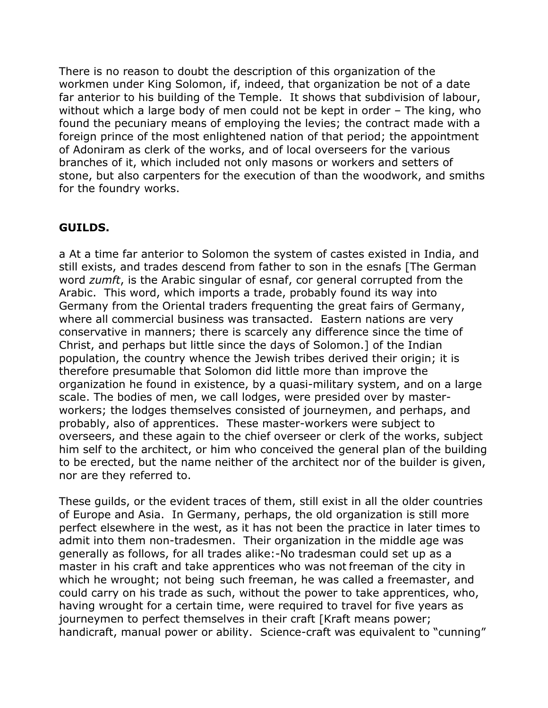There is no reason to doubt the description of this organization of the workmen under King Solomon, if, indeed, that organization be not of a date far anterior to his building of the Temple. It shows that subdivision of labour, without which a large body of men could not be kept in order – The king, who found the pecuniary means of employing the levies; the contract made with a foreign prince of the most enlightened nation of that period; the appointment of Adoniram as clerk of the works, and of local overseers for the various branches of it, which included not only masons or workers and setters of stone, but also carpenters for the execution of than the woodwork, and smiths for the foundry works.

#### **GUILDS.**

a At a time far anterior to Solomon the system of castes existed in India, and still exists, and trades descend from father to son in the esnafs [The German word *zumft*, is the Arabic singular of esnaf, cor general corrupted from the Arabic. This word, which imports a trade, probably found its way into Germany from the Oriental traders frequenting the great fairs of Germany, where all commercial business was transacted. Eastern nations are very conservative in manners; there is scarcely any difference since the time of Christ, and perhaps but little since the days of Solomon.] of the Indian population, the country whence the Jewish tribes derived their origin; it is therefore presumable that Solomon did little more than improve the organization he found in existence, by a quasi-military system, and on a large scale. The bodies of men, we call lodges, were presided over by masterworkers; the lodges themselves consisted of journeymen, and perhaps, and probably, also of apprentices. These master-workers were subject to overseers, and these again to the chief overseer or clerk of the works, subject him self to the architect, or him who conceived the general plan of the building to be erected, but the name neither of the architect nor of the builder is given, nor are they referred to.

These guilds, or the evident traces of them, still exist in all the older countries of Europe and Asia. In Germany, perhaps, the old organization is still more perfect elsewhere in the west, as it has not been the practice in later times to admit into them non-tradesmen. Their organization in the middle age was generally as follows, for all trades alike:-No tradesman could set up as a master in his craft and take apprentices who was not freeman of the city in which he wrought; not being such freeman, he was called a freemaster, and could carry on his trade as such, without the power to take apprentices, who, having wrought for a certain time, were required to travel for five years as journeymen to perfect themselves in their craft [Kraft means power; handicraft, manual power or ability. Science-craft was equivalent to "cunning"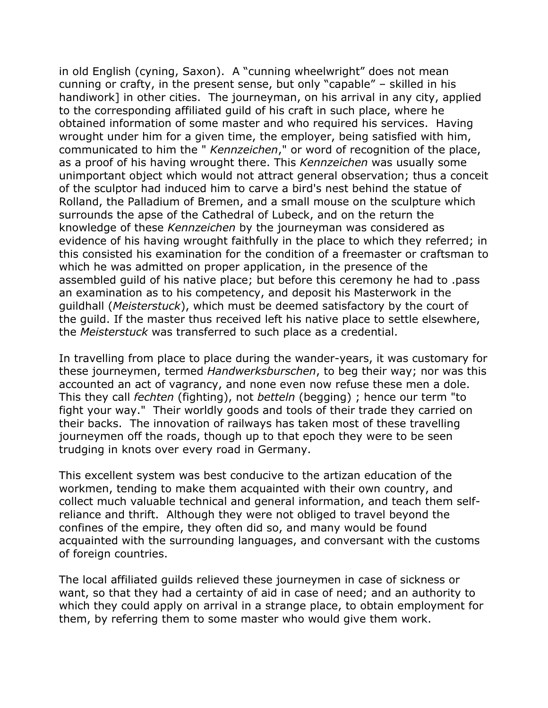in old English (cyning, Saxon). A "cunning wheelwright" does not mean cunning or crafty, in the present sense, but only "capable" – skilled in his handiwork] in other cities. The journeyman, on his arrival in any city, applied to the corresponding affiliated guild of his craft in such place, where he obtained information of some master and who required his services. Having wrought under him for a given time, the employer, being satisfied with him, communicated to him the " *Kennzeichen*," or word of recognition of the place, as a proof of his having wrought there. This *Kennzeichen* was usually some unimportant object which would not attract general observation; thus a conceit of the sculptor had induced him to carve a bird's nest behind the statue of Rolland, the Palladium of Bremen, and a small mouse on the sculpture which surrounds the apse of the Cathedral of Lubeck, and on the return the knowledge of these *Kennzeichen* by the journeyman was considered as evidence of his having wrought faithfully in the place to which they referred; in this consisted his examination for the condition of a freemaster or craftsman to which he was admitted on proper application, in the presence of the assembled guild of his native place; but before this ceremony he had to .pass an examination as to his competency, and deposit his Masterwork in the guildhall (*Meisterstuck*), which must be deemed satisfactory by the court of the guild. If the master thus received left his native place to settle elsewhere, the *Meisterstuck* was transferred to such place as a credential.

In travelling from place to place during the wander-years, it was customary for these journeymen, termed *Handwerksburschen*, to beg their way; nor was this accounted an act of vagrancy, and none even now refuse these men a dole. This they call *fechten* (fighting), not *betteln* (begging) ; hence our term "to fight your way." Their worldly goods and tools of their trade they carried on their backs. The innovation of railways has taken most of these travelling journeymen off the roads, though up to that epoch they were to be seen trudging in knots over every road in Germany.

This excellent system was best conducive to the artizan education of the workmen, tending to make them acquainted with their own country, and collect much valuable technical and general information, and teach them selfreliance and thrift. Although they were not obliged to travel beyond the confines of the empire, they often did so, and many would be found acquainted with the surrounding languages, and conversant with the customs of foreign countries.

The local affiliated guilds relieved these journeymen in case of sickness or want, so that they had a certainty of aid in case of need; and an authority to which they could apply on arrival in a strange place, to obtain employment for them, by referring them to some master who would give them work.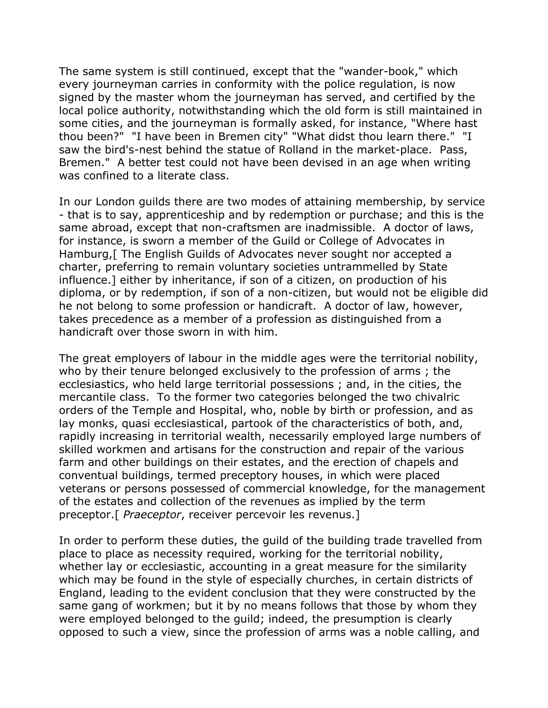The same system is still continued, except that the "wander-book," which every journeyman carries in conformity with the police regulation, is now signed by the master whom the journeyman has served, and certified by the local police authority, notwithstanding which the old form is still maintained in some cities, and the journeyman is formally asked, for instance, "Where hast thou been?" "I have been in Bremen city" "What didst thou learn there." "I saw the bird's-nest behind the statue of Rolland in the market-place. Pass, Bremen." A better test could not have been devised in an age when writing was confined to a literate class.

In our London guilds there are two modes of attaining membership, by service - that is to say, apprenticeship and by redemption or purchase; and this is the same abroad, except that non-craftsmen are inadmissible. A doctor of laws, for instance, is sworn a member of the Guild or College of Advocates in Hamburg,[ The English Guilds of Advocates never sought nor accepted a charter, preferring to remain voluntary societies untrammelled by State influence.] either by inheritance, if son of a citizen, on production of his diploma, or by redemption, if son of a non-citizen, but would not be eligible did he not belong to some profession or handicraft. A doctor of law, however, takes precedence as a member of a profession as distinguished from a handicraft over those sworn in with him.

The great employers of labour in the middle ages were the territorial nobility, who by their tenure belonged exclusively to the profession of arms ; the ecclesiastics, who held large territorial possessions ; and, in the cities, the mercantile class. To the former two categories belonged the two chivalric orders of the Temple and Hospital, who, noble by birth or profession, and as lay monks, quasi ecclesiastical, partook of the characteristics of both, and, rapidly increasing in territorial wealth, necessarily employed large numbers of skilled workmen and artisans for the construction and repair of the various farm and other buildings on their estates, and the erection of chapels and conventual buildings, termed preceptory houses, in which were placed veterans or persons possessed of commercial knowledge, for the management of the estates and collection of the revenues as implied by the term preceptor.[ *Praeceptor*, receiver percevoir les revenus.]

In order to perform these duties, the guild of the building trade travelled from place to place as necessity required, working for the territorial nobility, whether lay or ecclesiastic, accounting in a great measure for the similarity which may be found in the style of especially churches, in certain districts of England, leading to the evident conclusion that they were constructed by the same gang of workmen; but it by no means follows that those by whom they were employed belonged to the guild; indeed, the presumption is clearly opposed to such a view, since the profession of arms was a noble calling, and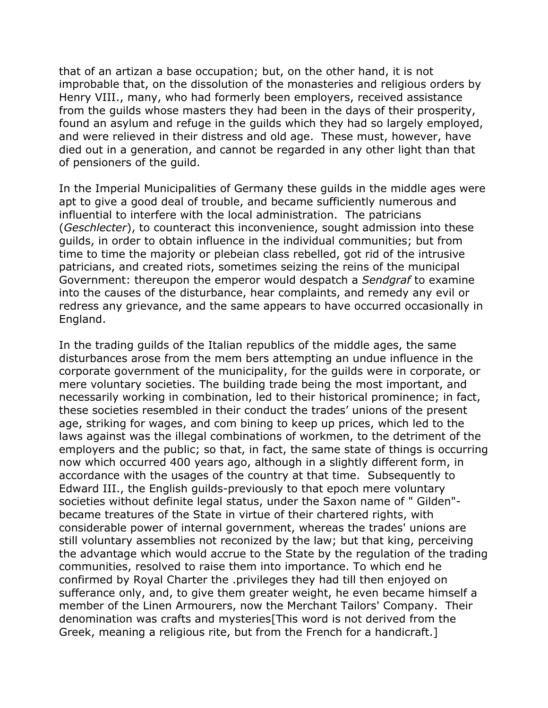that of an artizan a base occupation; but, on the other hand, it is not improbable that, on the dissolution of the monasteries and religious orders by Henry VIII., many, who had formerly been employers, received assistance from the guilds whose masters they had been in the days of their prosperity, found an asylum and refuge in the guilds which they had so largely employed, and were relieved in their distress and old age. These must, however, have died out in a generation, and cannot be regarded in any other light than that of pensioners of the guild.

In the Imperial Municipalities of Germany these guilds in the middle ages were apt to give a good deal of trouble, and became sufficiently numerous and influential to interfere with the local administration. The patricians (*Geschlecter*), to counteract this inconvenience, sought admission into these guilds, in order to obtain influence in the individual communities; but from time to time the majority or plebeian class rebelled, got rid of the intrusive patricians, and created riots, sometimes seizing the reins of the municipal Government: thereupon the emperor would despatch a *Sendgraf* to examine into the causes of the disturbance, hear complaints, and remedy any evil or redress any grievance, and the same appears to have occurred occasionally in England.

In the trading guilds of the Italian republics of the middle ages, the same disturbances arose from the mem bers attempting an undue influence in the corporate government of the municipality, for the guilds were in corporate, or mere voluntary societies. The building trade being the most important, and necessarily working in combination, led to their historical prominence; in fact, these societies resembled in their conduct the trades' unions of the present age, striking for wages, and com bining to keep up prices, which led to the laws against was the illegal combinations of workmen, to the detriment of the employers and the public; so that, in fact, the same state of things is occurring now which occurred 400 years ago, although in a slightly different form, in accordance with the usages of the country at that time. Subsequently to Edward III., the English guilds-previously to that epoch mere voluntary societies without definite legal status, under the Saxon name of " Gilden" became treatures of the State in virtue of their chartered rights, with considerable power of internal government, whereas the trades' unions are still voluntary assemblies not reconized by the law; but that king, perceiving the advantage which would accrue to the State by the regulation of the trading communities, resolved to raise them into importance. To which end he confirmed by Royal Charter the .privileges they had till then enjoyed on sufferance only, and, to give them greater weight, he even became himself a member of the Linen Armourers, now the Merchant Tailors' Company. Their denomination was crafts and mysteries[This word is not derived from the Greek, meaning a religious rite, but from the French for a handicraft.]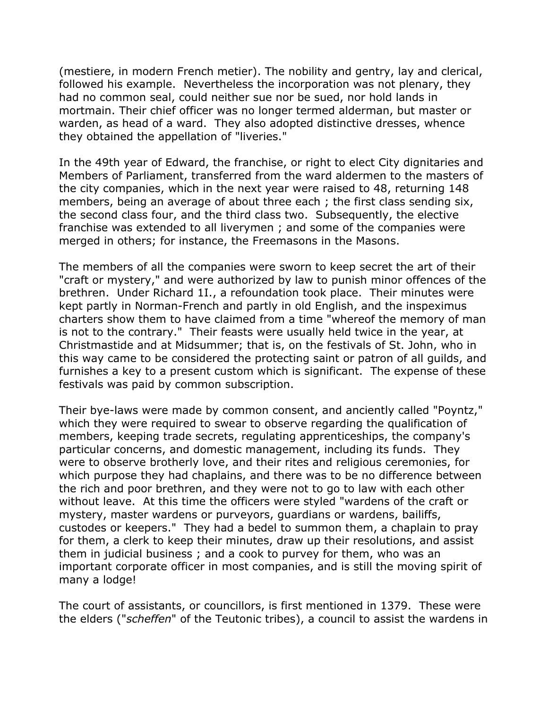(mestiere, in modern French metier). The nobility and gentry, lay and clerical, followed his example. Nevertheless the incorporation was not plenary, they had no common seal, could neither sue nor be sued, nor hold lands in mortmain. Their chief officer was no longer termed alderman, but master or warden, as head of a ward. They also adopted distinctive dresses, whence they obtained the appellation of "liveries."

In the 49th year of Edward, the franchise, or right to elect City dignitaries and Members of Parliament, transferred from the ward aldermen to the masters of the city companies, which in the next year were raised to 48, returning 148 members, being an average of about three each ; the first class sending six, the second class four, and the third class two. Subsequently, the elective franchise was extended to all liverymen ; and some of the companies were merged in others; for instance, the Freemasons in the Masons.

The members of all the companies were sworn to keep secret the art of their "craft or mystery," and were authorized by law to punish minor offences of the brethren. Under Richard 1I., a refoundation took place. Their minutes were kept partly in Norman-French and partly in old English, and the inspeximus charters show them to have claimed from a time "whereof the memory of man is not to the contrary." Their feasts were usually held twice in the year, at Christmastide and at Midsummer; that is, on the festivals of St. John, who in this way came to be considered the protecting saint or patron of all guilds, and furnishes a key to a present custom which is significant. The expense of these festivals was paid by common subscription.

Their bye-laws were made by common consent, and anciently called "Poyntz," which they were required to swear to observe regarding the qualification of members, keeping trade secrets, regulating apprenticeships, the company's particular concerns, and domestic management, including its funds. They were to observe brotherly love, and their rites and religious ceremonies, for which purpose they had chaplains, and there was to be no difference between the rich and poor brethren, and they were not to go to law with each other without leave. At this time the officers were styled "wardens of the craft or mystery, master wardens or purveyors, guardians or wardens, bailiffs, custodes or keepers." They had a bedel to summon them, a chaplain to pray for them, a clerk to keep their minutes, draw up their resolutions, and assist them in judicial business ; and a cook to purvey for them, who was an important corporate officer in most companies, and is still the moving spirit of many a lodge!

The court of assistants, or councillors, is first mentioned in 1379. These were the elders ("*scheffen*" of the Teutonic tribes), a council to assist the wardens in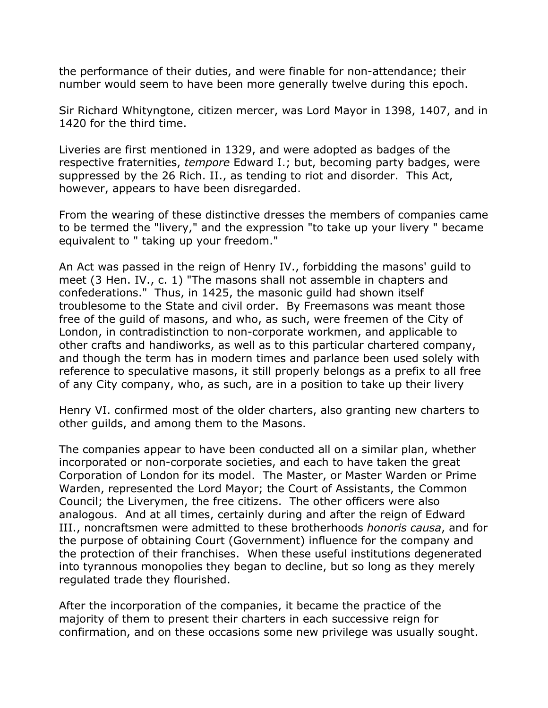the performance of their duties, and were finable for non-attendance; their number would seem to have been more generally twelve during this epoch.

Sir Richard Whityngtone, citizen mercer, was Lord Mayor in 1398, 1407, and in 1420 for the third time.

Liveries are first mentioned in 1329, and were adopted as badges of the respective fraternities, *tempore* Edward I.; but, becoming party badges, were suppressed by the 26 Rich. II., as tending to riot and disorder. This Act, however, appears to have been disregarded.

From the wearing of these distinctive dresses the members of companies came to be termed the "livery," and the expression "to take up your livery " became equivalent to " taking up your freedom."

An Act was passed in the reign of Henry IV., forbidding the masons' guild to meet (3 Hen. IV., c. 1) "The masons shall not assemble in chapters and confederations." Thus, in 1425, the masonic guild had shown itself troublesome to the State and civil order. By Freemasons was meant those free of the guild of masons, and who, as such, were freemen of the City of London, in contradistinction to non-corporate workmen, and applicable to other crafts and handiworks, as well as to this particular chartered company, and though the term has in modern times and parlance been used solely with reference to speculative masons, it still properly belongs as a prefix to all free of any City company, who, as such, are in a position to take up their livery

Henry VI. confirmed most of the older charters, also granting new charters to other guilds, and among them to the Masons.

The companies appear to have been conducted all on a similar plan, whether incorporated or non-corporate societies, and each to have taken the great Corporation of London for its model. The Master, or Master Warden or Prime Warden, represented the Lord Mayor; the Court of Assistants, the Common Council; the Liverymen, the free citizens. The other officers were also analogous. And at all times, certainly during and after the reign of Edward III., noncraftsmen were admitted to these brotherhoods *honoris causa*, and for the purpose of obtaining Court (Government) influence for the company and the protection of their franchises. When these useful institutions degenerated into tyrannous monopolies they began to decline, but so long as they merely regulated trade they flourished.

After the incorporation of the companies, it became the practice of the majority of them to present their charters in each successive reign for confirmation, and on these occasions some new privilege was usually sought.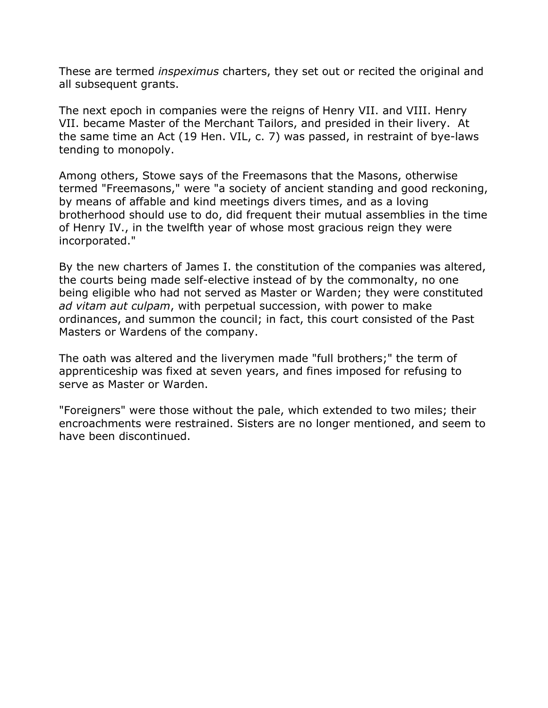These are termed *inspeximus* charters, they set out or recited the original and all subsequent grants.

The next epoch in companies were the reigns of Henry VII. and VIII. Henry VII. became Master of the Merchant Tailors, and presided in their livery. At the same time an Act (19 Hen. VIL, c. 7) was passed, in restraint of bye-laws tending to monopoly.

Among others, Stowe says of the Freemasons that the Masons, otherwise termed "Freemasons," were "a society of ancient standing and good reckoning, by means of affable and kind meetings divers times, and as a loving brotherhood should use to do, did frequent their mutual assemblies in the time of Henry IV., in the twelfth year of whose most gracious reign they were incorporated."

By the new charters of James I. the constitution of the companies was altered, the courts being made self-elective instead of by the commonalty, no one being eligible who had not served as Master or Warden; they were constituted *ad vitam aut culpam*, with perpetual succession, with power to make ordinances, and summon the council; in fact, this court consisted of the Past Masters or Wardens of the company.

The oath was altered and the liverymen made "full brothers;" the term of apprenticeship was fixed at seven years, and fines imposed for refusing to serve as Master or Warden.

"Foreigners" were those without the pale, which extended to two miles; their encroachments were restrained. Sisters are no longer mentioned, and seem to have been discontinued.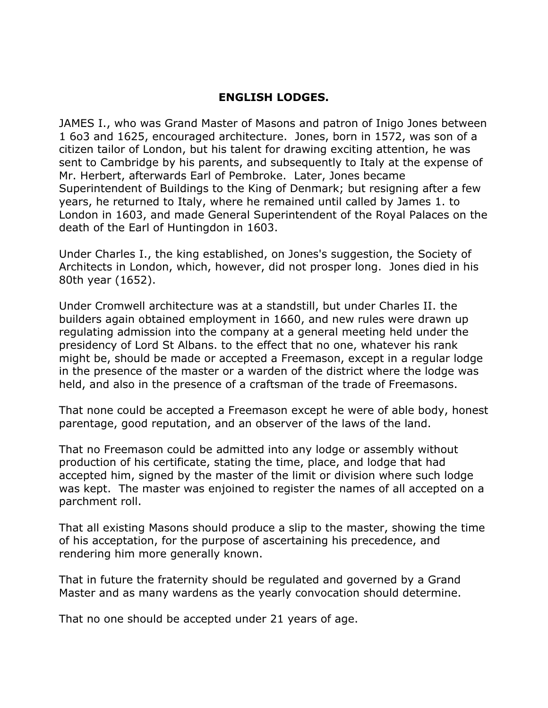### **ENGLISH LODGES.**

JAMES I., who was Grand Master of Masons and patron of Inigo Jones between 1 6o3 and 1625, encouraged architecture. Jones, born in 1572, was son of a citizen tailor of London, but his talent for drawing exciting attention, he was sent to Cambridge by his parents, and subsequently to Italy at the expense of Mr. Herbert, afterwards Earl of Pembroke. Later, Jones became Superintendent of Buildings to the King of Denmark; but resigning after a few years, he returned to Italy, where he remained until called by James 1. to London in 1603, and made General Superintendent of the Royal Palaces on the death of the Earl of Huntingdon in 1603.

Under Charles I., the king established, on Jones's suggestion, the Society of Architects in London, which, however, did not prosper long. Jones died in his 80th year (1652).

Under Cromwell architecture was at a standstill, but under Charles II. the builders again obtained employment in 1660, and new rules were drawn up regulating admission into the company at a general meeting held under the presidency of Lord St Albans. to the effect that no one, whatever his rank might be, should be made or accepted a Freemason, except in a regular lodge in the presence of the master or a warden of the district where the lodge was held, and also in the presence of a craftsman of the trade of Freemasons.

That none could be accepted a Freemason except he were of able body, honest parentage, good reputation, and an observer of the laws of the land.

That no Freemason could be admitted into any lodge or assembly without production of his certificate, stating the time, place, and lodge that had accepted him, signed by the master of the limit or division where such lodge was kept. The master was enjoined to register the names of all accepted on a parchment roll.

That all existing Masons should produce a slip to the master, showing the time of his acceptation, for the purpose of ascertaining his precedence, and rendering him more generally known.

That in future the fraternity should be regulated and governed by a Grand Master and as many wardens as the yearly convocation should determine.

That no one should be accepted under 21 years of age.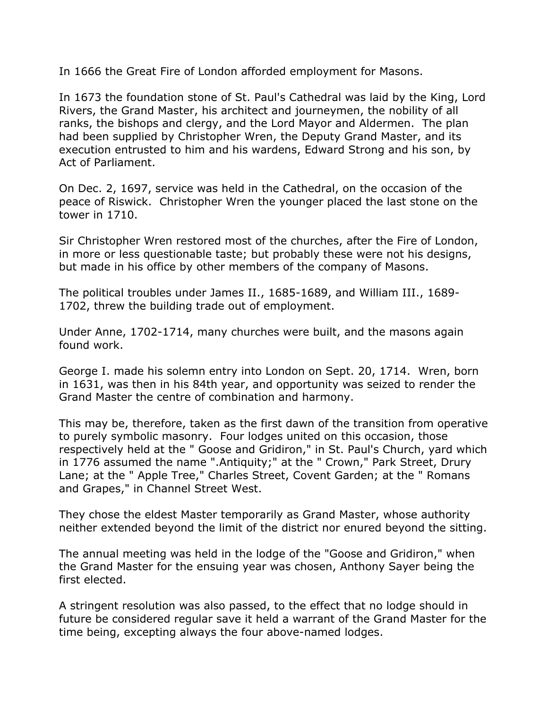In 1666 the Great Fire of London afforded employment for Masons.

In 1673 the foundation stone of St. Paul's Cathedral was laid by the King, Lord Rivers, the Grand Master, his architect and journeymen, the nobility of all ranks, the bishops and clergy, and the Lord Mayor and Aldermen. The plan had been supplied by Christopher Wren, the Deputy Grand Master, and its execution entrusted to him and his wardens, Edward Strong and his son, by Act of Parliament.

On Dec. 2, 1697, service was held in the Cathedral, on the occasion of the peace of Riswick. Christopher Wren the younger placed the last stone on the tower in 1710.

Sir Christopher Wren restored most of the churches, after the Fire of London, in more or less questionable taste; but probably these were not his designs, but made in his office by other members of the company of Masons.

The political troubles under James II., 1685-1689, and William III., 1689- 1702, threw the building trade out of employment.

Under Anne, 1702-1714, many churches were built, and the masons again found work.

George I. made his solemn entry into London on Sept. 20, 1714. Wren, born in 1631, was then in his 84th year, and opportunity was seized to render the Grand Master the centre of combination and harmony.

This may be, therefore, taken as the first dawn of the transition from operative to purely symbolic masonry. Four lodges united on this occasion, those respectively held at the " Goose and Gridiron," in St. Paul's Church, yard which in 1776 assumed the name ".Antiquity;" at the " Crown," Park Street, Drury Lane; at the " Apple Tree," Charles Street, Covent Garden; at the " Romans and Grapes," in Channel Street West.

They chose the eldest Master temporarily as Grand Master, whose authority neither extended beyond the limit of the district nor enured beyond the sitting.

The annual meeting was held in the lodge of the "Goose and Gridiron," when the Grand Master for the ensuing year was chosen, Anthony Sayer being the first elected.

A stringent resolution was also passed, to the effect that no lodge should in future be considered regular save it held a warrant of the Grand Master for the time being, excepting always the four above-named lodges.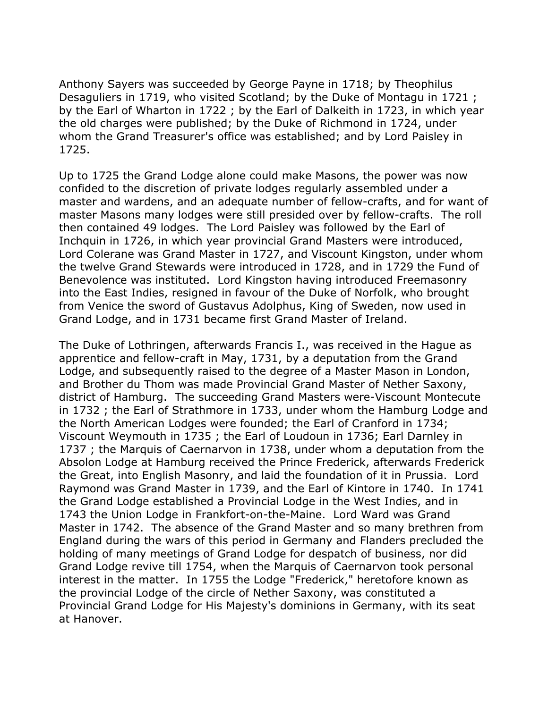Anthony Sayers was succeeded by George Payne in 1718; by Theophilus Desaguliers in 1719, who visited Scotland; by the Duke of Montagu in 1721 ; by the Earl of Wharton in 1722 ; by the Earl of Dalkeith in 1723, in which year the old charges were published; by the Duke of Richmond in 1724, under whom the Grand Treasurer's office was established; and by Lord Paisley in 1725.

Up to 1725 the Grand Lodge alone could make Masons, the power was now confided to the discretion of private lodges regularly assembled under a master and wardens, and an adequate number of fellow-crafts, and for want of master Masons many lodges were still presided over by fellow-crafts. The roll then contained 49 lodges. The Lord Paisley was followed by the Earl of Inchquin in 1726, in which year provincial Grand Masters were introduced, Lord Colerane was Grand Master in 1727, and Viscount Kingston, under whom the twelve Grand Stewards were introduced in 1728, and in 1729 the Fund of Benevolence was instituted. Lord Kingston having introduced Freemasonry into the East Indies, resigned in favour of the Duke of Norfolk, who brought from Venice the sword of Gustavus Adolphus, King of Sweden, now used in Grand Lodge, and in 1731 became first Grand Master of Ireland.

The Duke of Lothringen, afterwards Francis I., was received in the Hague as apprentice and fellow-craft in May, 1731, by a deputation from the Grand Lodge, and subsequently raised to the degree of a Master Mason in London, and Brother du Thom was made Provincial Grand Master of Nether Saxony, district of Hamburg. The succeeding Grand Masters were-Viscount Montecute in 1732 ; the Earl of Strathmore in 1733, under whom the Hamburg Lodge and the North American Lodges were founded; the Earl of Cranford in 1734; Viscount Weymouth in 1735 ; the Earl of Loudoun in 1736; Earl Darnley in 1737 ; the Marquis of Caernarvon in 1738, under whom a deputation from the Absolon Lodge at Hamburg received the Prince Frederick, afterwards Frederick the Great, into English Masonry, and laid the foundation of it in Prussia. Lord Raymond was Grand Master in 1739, and the Earl of Kintore in 1740. In 1741 the Grand Lodge established a Provincial Lodge in the West Indies, and in 1743 the Union Lodge in Frankfort-on-the-Maine. Lord Ward was Grand Master in 1742. The absence of the Grand Master and so many brethren from England during the wars of this period in Germany and Flanders precluded the holding of many meetings of Grand Lodge for despatch of business, nor did Grand Lodge revive till 1754, when the Marquis of Caernarvon took personal interest in the matter. In 1755 the Lodge "Frederick," heretofore known as the provincial Lodge of the circle of Nether Saxony, was constituted a Provincial Grand Lodge for His Majesty's dominions in Germany, with its seat at Hanover.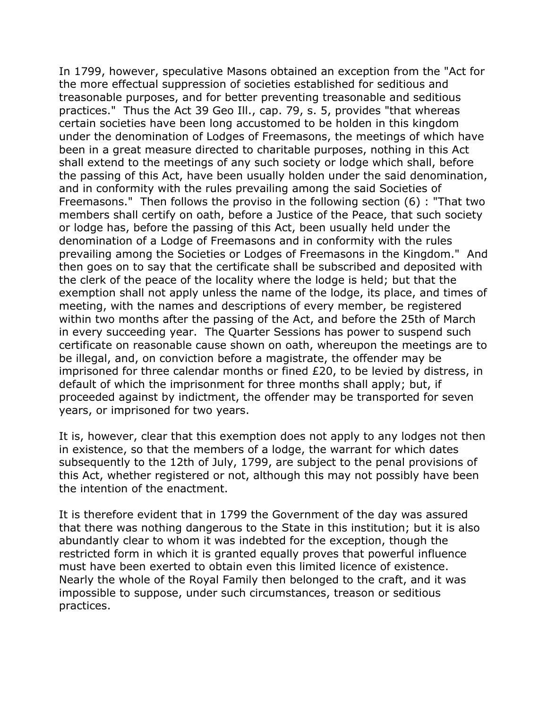In 1799, however, speculative Masons obtained an exception from the "Act for the more effectual suppression of societies established for seditious and treasonable purposes, and for better preventing treasonable and seditious practices." Thus the Act 39 Geo Ill., cap. 79, s. 5, provides "that whereas certain societies have been long accustomed to be holden in this kingdom under the denomination of Lodges of Freemasons, the meetings of which have been in a great measure directed to charitable purposes, nothing in this Act shall extend to the meetings of any such society or lodge which shall, before the passing of this Act, have been usually holden under the said denomination, and in conformity with the rules prevailing among the said Societies of Freemasons." Then follows the proviso in the following section (6) : "That two members shall certify on oath, before a Justice of the Peace, that such society or lodge has, before the passing of this Act, been usually held under the denomination of a Lodge of Freemasons and in conformity with the rules prevailing among the Societies or Lodges of Freemasons in the Kingdom." And then goes on to say that the certificate shall be subscribed and deposited with the clerk of the peace of the locality where the lodge is held; but that the exemption shall not apply unless the name of the lodge, its place, and times of meeting, with the names and descriptions of every member, be registered within two months after the passing of the Act, and before the 25th of March in every succeeding year. The Quarter Sessions has power to suspend such certificate on reasonable cause shown on oath, whereupon the meetings are to be illegal, and, on conviction before a magistrate, the offender may be imprisoned for three calendar months or fined £20, to be levied by distress, in default of which the imprisonment for three months shall apply; but, if proceeded against by indictment, the offender may be transported for seven years, or imprisoned for two years.

It is, however, clear that this exemption does not apply to any lodges not then in existence, so that the members of a lodge, the warrant for which dates subsequently to the 12th of July, 1799, are subject to the penal provisions of this Act, whether registered or not, although this may not possibly have been the intention of the enactment.

It is therefore evident that in 1799 the Government of the day was assured that there was nothing dangerous to the State in this institution; but it is also abundantly clear to whom it was indebted for the exception, though the restricted form in which it is granted equally proves that powerful influence must have been exerted to obtain even this limited licence of existence. Nearly the whole of the Royal Family then belonged to the craft, and it was impossible to suppose, under such circumstances, treason or seditious practices.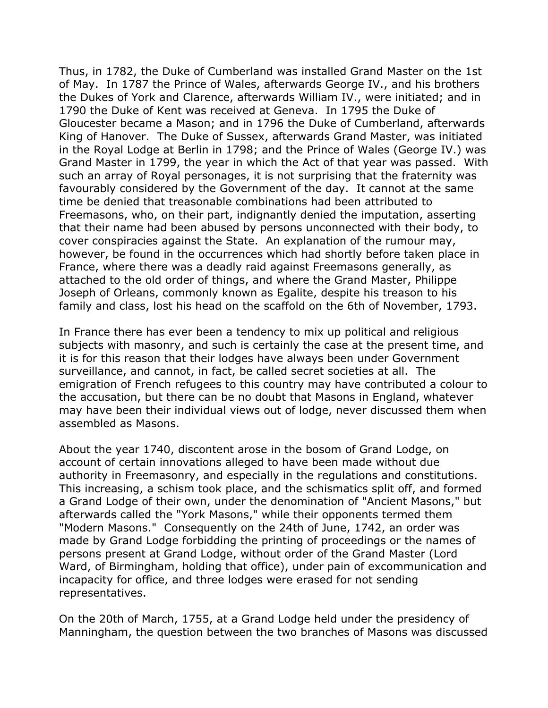Thus, in 1782, the Duke of Cumberland was installed Grand Master on the 1st of May. In 1787 the Prince of Wales, afterwards George IV., and his brothers the Dukes of York and Clarence, afterwards William IV., were initiated; and in 1790 the Duke of Kent was received at Geneva. In 1795 the Duke of Gloucester became a Mason; and in 1796 the Duke of Cumberland, afterwards King of Hanover. The Duke of Sussex, afterwards Grand Master, was initiated in the Royal Lodge at Berlin in 1798; and the Prince of Wales (George IV.) was Grand Master in 1799, the year in which the Act of that year was passed. With such an array of Royal personages, it is not surprising that the fraternity was favourably considered by the Government of the day. It cannot at the same time be denied that treasonable combinations had been attributed to Freemasons, who, on their part, indignantly denied the imputation, asserting that their name had been abused by persons unconnected with their body, to cover conspiracies against the State. An explanation of the rumour may, however, be found in the occurrences which had shortly before taken place in France, where there was a deadly raid against Freemasons generally, as attached to the old order of things, and where the Grand Master, Philippe Joseph of Orleans, commonly known as Egalite, despite his treason to his family and class, lost his head on the scaffold on the 6th of November, 1793.

In France there has ever been a tendency to mix up political and religious subjects with masonry, and such is certainly the case at the present time, and it is for this reason that their lodges have always been under Government surveillance, and cannot, in fact, be called secret societies at all. The emigration of French refugees to this country may have contributed a colour to the accusation, but there can be no doubt that Masons in England, whatever may have been their individual views out of lodge, never discussed them when assembled as Masons.

About the year 1740, discontent arose in the bosom of Grand Lodge, on account of certain innovations alleged to have been made without due authority in Freemasonry, and especially in the regulations and constitutions. This increasing, a schism took place, and the schismatics split off, and formed a Grand Lodge of their own, under the denomination of "Ancient Masons," but afterwards called the "York Masons," while their opponents termed them "Modern Masons." Consequently on the 24th of June, 1742, an order was made by Grand Lodge forbidding the printing of proceedings or the names of persons present at Grand Lodge, without order of the Grand Master (Lord Ward, of Birmingham, holding that office), under pain of excommunication and incapacity for office, and three lodges were erased for not sending representatives.

On the 20th of March, 1755, at a Grand Lodge held under the presidency of Manningham, the question between the two branches of Masons was discussed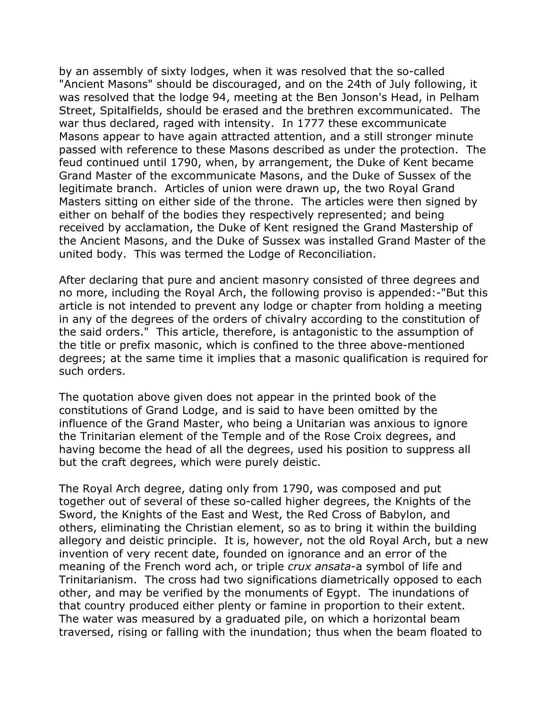by an assembly of sixty lodges, when it was resolved that the so-called "Ancient Masons" should be discouraged, and on the 24th of July following, it was resolved that the lodge 94, meeting at the Ben Jonson's Head, in Pelham Street, Spitalfields, should be erased and the brethren excommunicated. The war thus declared, raged with intensity. In 1777 these excommunicate Masons appear to have again attracted attention, and a still stronger minute passed with reference to these Masons described as under the protection. The feud continued until 1790, when, by arrangement, the Duke of Kent became Grand Master of the excommunicate Masons, and the Duke of Sussex of the legitimate branch. Articles of union were drawn up, the two Royal Grand Masters sitting on either side of the throne. The articles were then signed by either on behalf of the bodies they respectively represented; and being received by acclamation, the Duke of Kent resigned the Grand Mastership of the Ancient Masons, and the Duke of Sussex was installed Grand Master of the united body. This was termed the Lodge of Reconciliation.

After declaring that pure and ancient masonry consisted of three degrees and no more, including the Royal Arch, the following proviso is appended:-"But this article is not intended to prevent any lodge or chapter from holding a meeting in any of the degrees of the orders of chivalry according to the constitution of the said orders." This article, therefore, is antagonistic to the assumption of the title or prefix masonic, which is confined to the three above-mentioned degrees; at the same time it implies that a masonic qualification is required for such orders.

The quotation above given does not appear in the printed book of the constitutions of Grand Lodge, and is said to have been omitted by the influence of the Grand Master, who being a Unitarian was anxious to ignore the Trinitarian element of the Temple and of the Rose Croix degrees, and having become the head of all the degrees, used his position to suppress all but the craft degrees, which were purely deistic.

The Royal Arch degree, dating only from 1790, was composed and put together out of several of these so-called higher degrees, the Knights of the Sword, the Knights of the East and West, the Red Cross of Babylon, and others, eliminating the Christian element, so as to bring it within the building allegory and deistic principle. It is, however, not the old Royal Arch, but a new invention of very recent date, founded on ignorance and an error of the meaning of the French word ach, or triple *crux ansata*-a symbol of life and Trinitarianism. The cross had two significations diametrically opposed to each other, and may be verified by the monuments of Egypt. The inundations of that country produced either plenty or famine in proportion to their extent. The water was measured by a graduated pile, on which a horizontal beam traversed, rising or falling with the inundation; thus when the beam floated to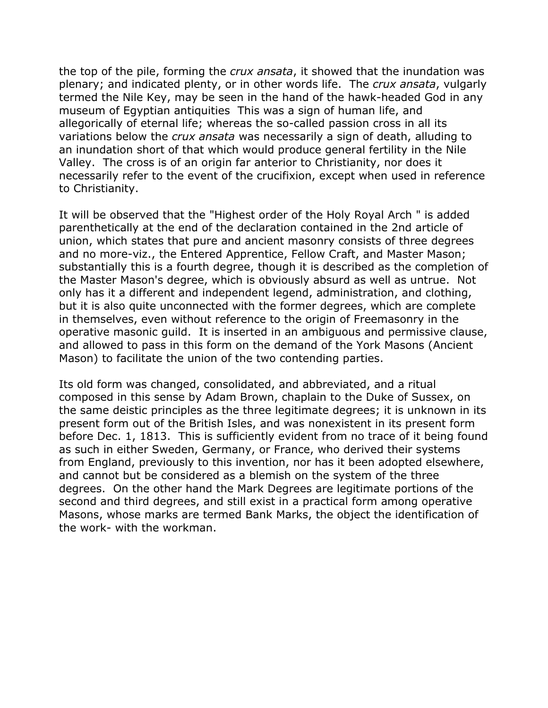the top of the pile, forming the *crux ansata*, it showed that the inundation was plenary; and indicated plenty, or in other words life. The *crux ansata*, vulgarly termed the Nile Key, may be seen in the hand of the hawk-headed God in any museum of Egyptian antiquities This was a sign of human life, and allegorically of eternal life; whereas the so-called passion cross in all its variations below the *crux ansata* was necessarily a sign of death, alluding to an inundation short of that which would produce general fertility in the Nile Valley. The cross is of an origin far anterior to Christianity, nor does it necessarily refer to the event of the crucifixion, except when used in reference to Christianity.

It will be observed that the "Highest order of the Holy Royal Arch " is added parenthetically at the end of the declaration contained in the 2nd article of union, which states that pure and ancient masonry consists of three degrees and no more-viz., the Entered Apprentice, Fellow Craft, and Master Mason; substantially this is a fourth degree, though it is described as the completion of the Master Mason's degree, which is obviously absurd as well as untrue. Not only has it a different and independent legend, administration, and clothing, but it is also quite unconnected with the former degrees, which are complete in themselves, even without reference to the origin of Freemasonry in the operative masonic guild. It is inserted in an ambiguous and permissive clause, and allowed to pass in this form on the demand of the York Masons (Ancient Mason) to facilitate the union of the two contending parties.

Its old form was changed, consolidated, and abbreviated, and a ritual composed in this sense by Adam Brown, chaplain to the Duke of Sussex, on the same deistic principles as the three legitimate degrees; it is unknown in its present form out of the British Isles, and was nonexistent in its present form before Dec. 1, 1813. This is sufficiently evident from no trace of it being found as such in either Sweden, Germany, or France, who derived their systems from England, previously to this invention, nor has it been adopted elsewhere, and cannot but be considered as a blemish on the system of the three degrees. On the other hand the Mark Degrees are legitimate portions of the second and third degrees, and still exist in a practical form among operative Masons, whose marks are termed Bank Marks, the object the identification of the work- with the workman.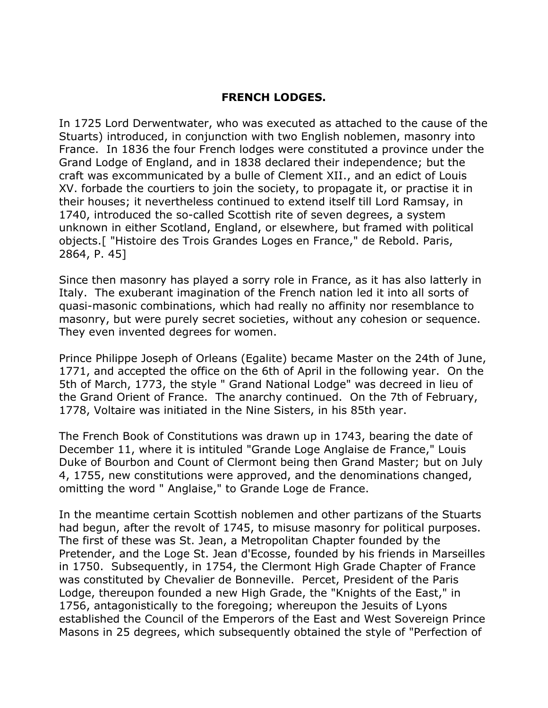# **FRENCH LODGES.**

In 1725 Lord Derwentwater, who was executed as attached to the cause of the Stuarts) introduced, in conjunction with two English noblemen, masonry into France. In 1836 the four French lodges were constituted a province under the Grand Lodge of England, and in 1838 declared their independence; but the craft was excommunicated by a bulle of Clement XII., and an edict of Louis XV. forbade the courtiers to join the society, to propagate it, or practise it in their houses; it nevertheless continued to extend itself till Lord Ramsay, in 1740, introduced the so-called Scottish rite of seven degrees, a system unknown in either Scotland, England, or elsewhere, but framed with political objects.[ "Histoire des Trois Grandes Loges en France," de Rebold. Paris, 2864, P. 45]

Since then masonry has played a sorry role in France, as it has also latterly in Italy. The exuberant imagination of the French nation led it into all sorts of quasi-masonic combinations, which had really no affinity nor resemblance to masonry, but were purely secret societies, without any cohesion or sequence. They even invented degrees for women.

Prince Philippe Joseph of Orleans (Egalite) became Master on the 24th of June, 1771, and accepted the office on the 6th of April in the following year. On the 5th of March, 1773, the style " Grand National Lodge" was decreed in lieu of the Grand Orient of France. The anarchy continued. On the 7th of February, 1778, Voltaire was initiated in the Nine Sisters, in his 85th year.

The French Book of Constitutions was drawn up in 1743, bearing the date of December 11, where it is intituled "Grande Loge Anglaise de France," Louis Duke of Bourbon and Count of Clermont being then Grand Master; but on July 4, 1755, new constitutions were approved, and the denominations changed, omitting the word " Anglaise," to Grande Loge de France.

In the meantime certain Scottish noblemen and other partizans of the Stuarts had begun, after the revolt of 1745, to misuse masonry for political purposes. The first of these was St. Jean, a Metropolitan Chapter founded by the Pretender, and the Loge St. Jean d'Ecosse, founded by his friends in Marseilles in 1750. Subsequently, in 1754, the Clermont High Grade Chapter of France was constituted by Chevalier de Bonneville. Percet, President of the Paris Lodge, thereupon founded a new High Grade, the "Knights of the East," in 1756, antagonistically to the foregoing; whereupon the Jesuits of Lyons established the Council of the Emperors of the East and West Sovereign Prince Masons in 25 degrees, which subsequently obtained the style of "Perfection of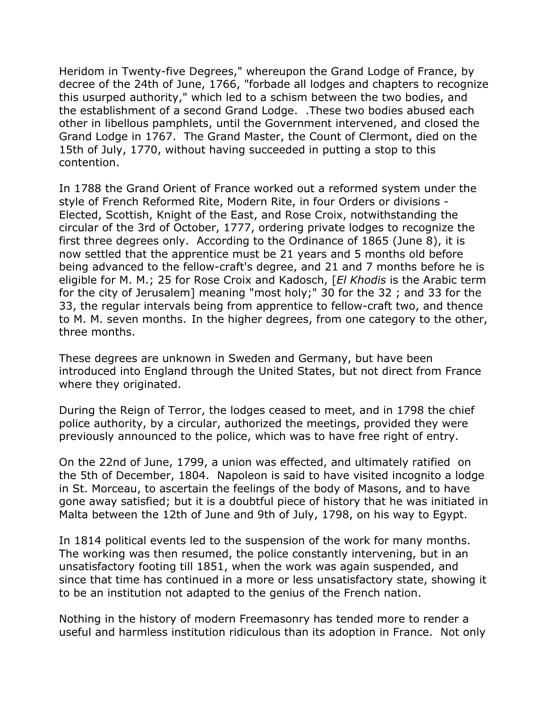Heridom in Twenty-five Degrees," whereupon the Grand Lodge of France, by decree of the 24th of June, 1766, "forbade all lodges and chapters to recognize this usurped authority," which led to a schism between the two bodies, and the establishment of a second Grand Lodge. .These two bodies abused each other in libellous pamphlets, until the Government intervened, and closed the Grand Lodge in 1767. The Grand Master, the Count of Clermont, died on the 15th of July, 1770, without having succeeded in putting a stop to this contention.

In 1788 the Grand Orient of France worked out a reformed system under the style of French Reformed Rite, Modern Rite, in four Orders or divisions - Elected, Scottish, Knight of the East, and Rose Croix, notwithstanding the circular of the 3rd of October, 1777, ordering private lodges to recognize the first three degrees only. According to the Ordinance of 1865 (June 8), it is now settled that the apprentice must be 21 years and 5 months old before being advanced to the fellow-craft's degree, and 21 and 7 months before he is eligible for M. M.; 25 for Rose Croix and Kadosch, [*El Khodis* is the Arabic term for the city of Jerusalem] meaning "most holy;" 30 for the 32 ; and 33 for the 33, the regular intervals being from apprentice to fellow-craft two, and thence to M. M. seven months. In the higher degrees, from one category to the other, three months.

These degrees are unknown in Sweden and Germany, but have been introduced into England through the United States, but not direct from France where they originated.

During the Reign of Terror, the lodges ceased to meet, and in 1798 the chief police authority, by a circular, authorized the meetings, provided they were previously announced to the police, which was to have free right of entry.

On the 22nd of June, 1799, a union was effected, and ultimately ratified on the 5th of December, 1804. Napoleon is said to have visited incognito a lodge in St. Morceau, to ascertain the feelings of the body of Masons, and to have gone away satisfied; but it is a doubtful piece of history that he was initiated in Malta between the 12th of June and 9th of July, 1798, on his way to Egypt.

In 1814 political events led to the suspension of the work for many months. The working was then resumed, the police constantly intervening, but in an unsatisfactory footing till 1851, when the work was again suspended, and since that time has continued in a more or less unsatisfactory state, showing it to be an institution not adapted to the genius of the French nation.

Nothing in the history of modern Freemasonry has tended more to render a useful and harmless institution ridiculous than its adoption in France. Not only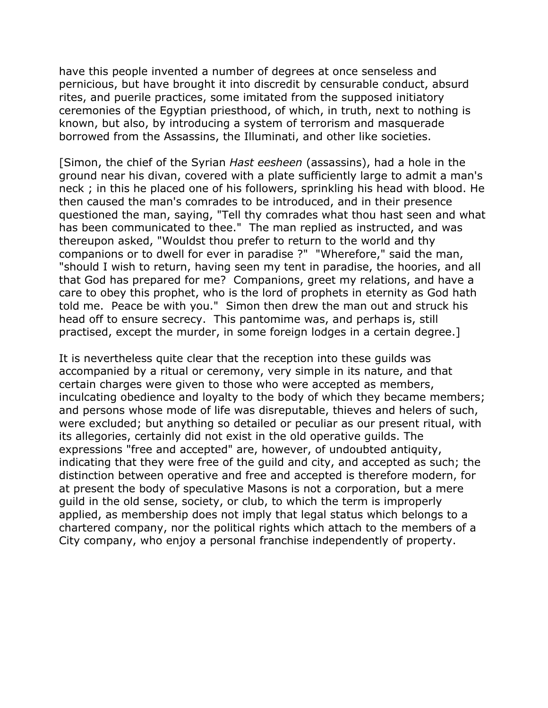have this people invented a number of degrees at once senseless and pernicious, but have brought it into discredit by censurable conduct, absurd rites, and puerile practices, some imitated from the supposed initiatory ceremonies of the Egyptian priesthood, of which, in truth, next to nothing is known, but also, by introducing a system of terrorism and masquerade borrowed from the Assassins, the Illuminati, and other like societies.

[Simon, the chief of the Syrian *Hast eesheen* (assassins), had a hole in the ground near his divan, covered with a plate sufficiently large to admit a man's neck ; in this he placed one of his followers, sprinkling his head with blood. He then caused the man's comrades to be introduced, and in their presence questioned the man, saying, "Tell thy comrades what thou hast seen and what has been communicated to thee." The man replied as instructed, and was thereupon asked, "Wouldst thou prefer to return to the world and thy companions or to dwell for ever in paradise ?" "Wherefore," said the man, "should I wish to return, having seen my tent in paradise, the hoories, and all that God has prepared for me? Companions, greet my relations, and have a care to obey this prophet, who is the lord of prophets in eternity as God hath told me. Peace be with you." Simon then drew the man out and struck his head off to ensure secrecy. This pantomime was, and perhaps is, still practised, except the murder, in some foreign lodges in a certain degree.]

It is nevertheless quite clear that the reception into these guilds was accompanied by a ritual or ceremony, very simple in its nature, and that certain charges were given to those who were accepted as members, inculcating obedience and loyalty to the body of which they became members; and persons whose mode of life was disreputable, thieves and helers of such, were excluded; but anything so detailed or peculiar as our present ritual, with its allegories, certainly did not exist in the old operative guilds. The expressions "free and accepted" are, however, of undoubted antiquity, indicating that they were free of the guild and city, and accepted as such; the distinction between operative and free and accepted is therefore modern, for at present the body of speculative Masons is not a corporation, but a mere guild in the old sense, society, or club, to which the term is improperly applied, as membership does not imply that legal status which belongs to a chartered company, nor the political rights which attach to the members of a City company, who enjoy a personal franchise independently of property.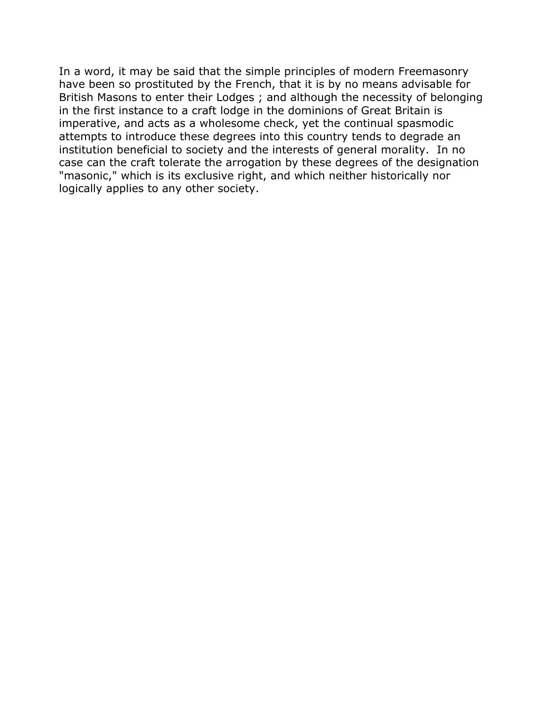In a word, it may be said that the simple principles of modern Freemasonry have been so prostituted by the French, that it is by no means advisable for British Masons to enter their Lodges ; and although the necessity of belonging in the first instance to a craft lodge in the dominions of Great Britain is imperative, and acts as a wholesome check, yet the continual spasmodic attempts to introduce these degrees into this country tends to degrade an institution beneficial to society and the interests of general morality. In no case can the craft tolerate the arrogation by these degrees of the designation "masonic," which is its exclusive right, and which neither historically nor logically applies to any other society.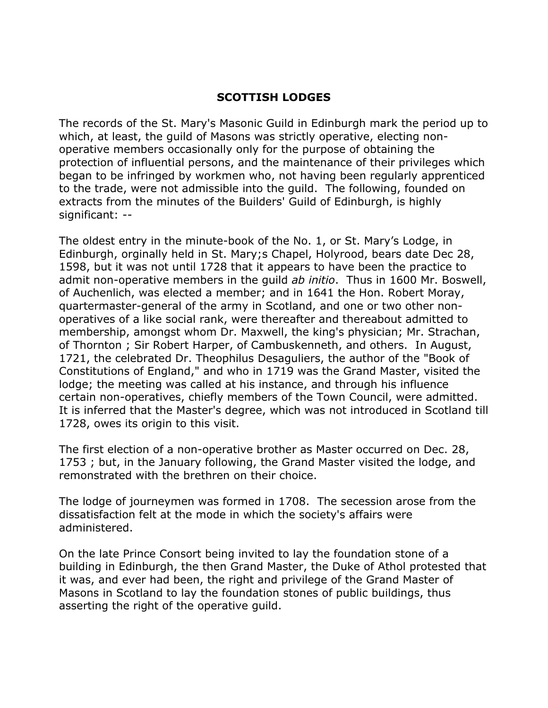# **SCOTTISH LODGES**

The records of the St. Mary's Masonic Guild in Edinburgh mark the period up to which, at least, the guild of Masons was strictly operative, electing nonoperative members occasionally only for the purpose of obtaining the protection of influential persons, and the maintenance of their privileges which began to be infringed by workmen who, not having been regularly apprenticed to the trade, were not admissible into the guild. The following, founded on extracts from the minutes of the Builders' Guild of Edinburgh, is highly significant: --

The oldest entry in the minute-book of the No. 1, or St. Mary's Lodge, in Edinburgh, orginally held in St. Mary;s Chapel, Holyrood, bears date Dec 28, 1598, but it was not until 1728 that it appears to have been the practice to admit non-operative members in the guild *ab initio*. Thus in 1600 Mr. Boswell, of Auchenlich, was elected a member; and in 1641 the Hon. Robert Moray, quartermaster-general of the army in Scotland, and one or two other nonoperatives of a like social rank, were thereafter and thereabout admitted to membership, amongst whom Dr. Maxwell, the king's physician; Mr. Strachan, of Thornton ; Sir Robert Harper, of Cambuskenneth, and others. In August, 1721, the celebrated Dr. Theophilus Desaguliers, the author of the "Book of Constitutions of England," and who in 1719 was the Grand Master, visited the lodge; the meeting was called at his instance, and through his influence certain non-operatives, chiefly members of the Town Council, were admitted. It is inferred that the Master's degree, which was not introduced in Scotland till 1728, owes its origin to this visit.

The first election of a non-operative brother as Master occurred on Dec. 28, 1753 ; but, in the January following, the Grand Master visited the lodge, and remonstrated with the brethren on their choice.

The lodge of journeymen was formed in 1708. The secession arose from the dissatisfaction felt at the mode in which the society's affairs were administered.

On the late Prince Consort being invited to lay the foundation stone of a building in Edinburgh, the then Grand Master, the Duke of Athol protested that it was, and ever had been, the right and privilege of the Grand Master of Masons in Scotland to lay the foundation stones of public buildings, thus asserting the right of the operative guild.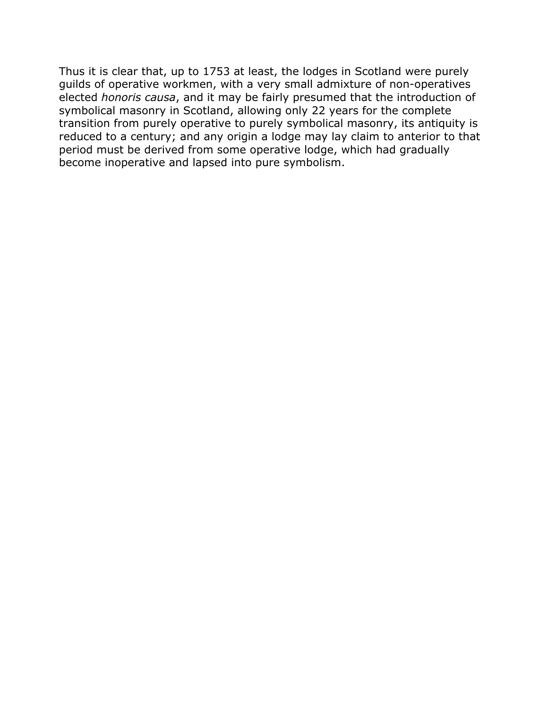Thus it is clear that, up to 1753 at least, the lodges in Scotland were purely guilds of operative workmen, with a very small admixture of non-operatives elected *honoris causa*, and it may be fairly presumed that the introduction of symbolical masonry in Scotland, allowing only 22 years for the complete transition from purely operative to purely symbolical masonry, its antiquity is reduced to a century; and any origin a lodge may lay claim to anterior to that period must be derived from some operative lodge, which had gradually become inoperative and lapsed into pure symbolism.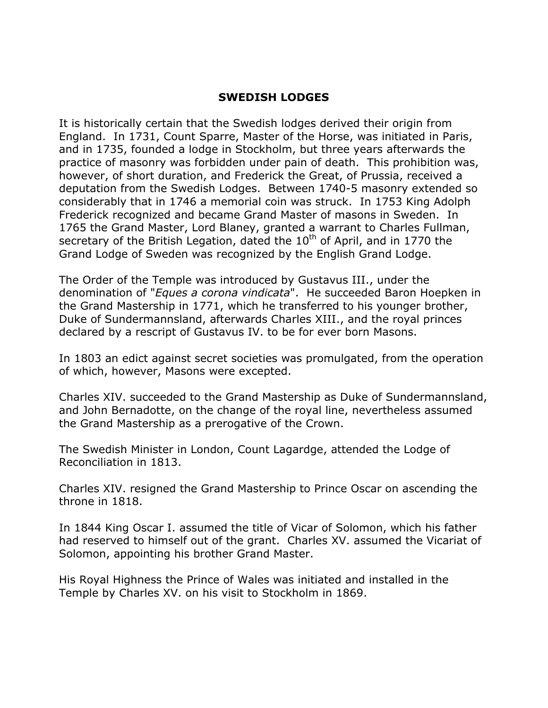# **SWEDISH LODGES**

It is historically certain that the Swedish lodges derived their origin from England. In 1731, Count Sparre, Master of the Horse, was initiated in Paris, and in 1735, founded a lodge in Stockholm, but three years afterwards the practice of masonry was forbidden under pain of death. This prohibition was, however, of short duration, and Frederick the Great, of Prussia, received a deputation from the Swedish Lodges. Between 1740-5 masonry extended so considerably that in 1746 a memorial coin was struck. In 1753 King Adolph Frederick recognized and became Grand Master of masons in Sweden. In 1765 the Grand Master, Lord Blaney, granted a warrant to Charles Fullman, secretary of the British Legation, dated the  $10<sup>th</sup>$  of April, and in 1770 the Grand Lodge of Sweden was recognized by the English Grand Lodge.

The Order of the Temple was introduced by Gustavus III., under the denomination of "*Eques a corona vindicata*". He succeeded Baron Hoepken in the Grand Mastership in 1771, which he transferred to his younger brother, Duke of Sundermannsland, afterwards Charles XIII., and the royal princes declared by a rescript of Gustavus IV. to be for ever born Masons.

In 1803 an edict against secret societies was promulgated, from the operation of which, however, Masons were excepted.

Charles XIV. succeeded to the Grand Mastership as Duke of Sundermannsland, and John Bernadotte, on the change of the royal line, nevertheless assumed the Grand Mastership as a prerogative of the Crown.

The Swedish Minister in London, Count Lagardge, attended the Lodge of Reconciliation in 1813.

Charles XIV. resigned the Grand Mastership to Prince Oscar on ascending the throne in 1818.

In 1844 King Oscar I. assumed the title of Vicar of Solomon, which his father had reserved to himself out of the grant. Charles XV. assumed the Vicariat of Solomon, appointing his brother Grand Master.

His Royal Highness the Prince of Wales was initiated and installed in the Temple by Charles XV. on his visit to Stockholm in 1869.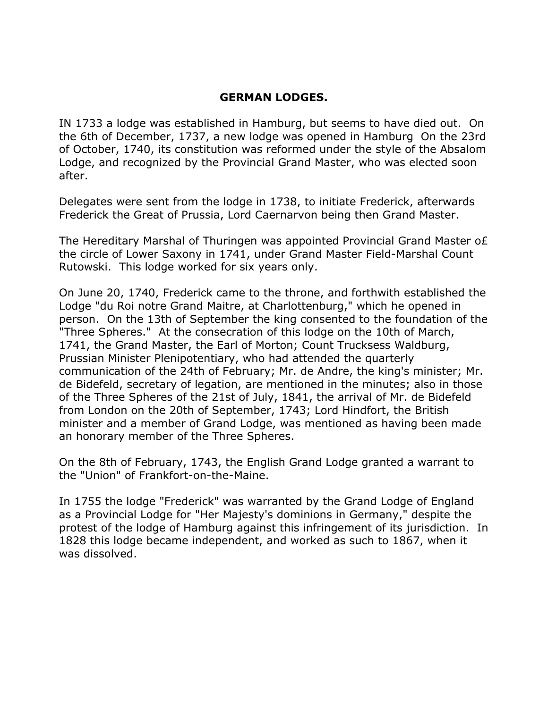### **GERMAN LODGES.**

IN 1733 a lodge was established in Hamburg, but seems to have died out. On the 6th of December, 1737, a new lodge was opened in Hamburg On the 23rd of October, 1740, its constitution was reformed under the style of the Absalom Lodge, and recognized by the Provincial Grand Master, who was elected soon after.

Delegates were sent from the lodge in 1738, to initiate Frederick, afterwards Frederick the Great of Prussia, Lord Caernarvon being then Grand Master.

The Hereditary Marshal of Thuringen was appointed Provincial Grand Master o£ the circle of Lower Saxony in 1741, under Grand Master Field-Marshal Count Rutowski. This lodge worked for six years only.

On June 20, 1740, Frederick came to the throne, and forthwith established the Lodge "du Roi notre Grand Maitre, at Charlottenburg," which he opened in person. On the 13th of September the king consented to the foundation of the "Three Spheres." At the consecration of this lodge on the 10th of March, 1741, the Grand Master, the Earl of Morton; Count Trucksess Waldburg, Prussian Minister Plenipotentiary, who had attended the quarterly communication of the 24th of February; Mr. de Andre, the king's minister; Mr. de Bidefeld, secretary of legation, are mentioned in the minutes; also in those of the Three Spheres of the 21st of July, 1841, the arrival of Mr. de Bidefeld from London on the 20th of September, 1743; Lord Hindfort, the British minister and a member of Grand Lodge, was mentioned as having been made an honorary member of the Three Spheres.

On the 8th of February, 1743, the English Grand Lodge granted a warrant to the "Union" of Frankfort-on-the-Maine.

In 1755 the lodge "Frederick" was warranted by the Grand Lodge of England as a Provincial Lodge for "Her Majesty's dominions in Germany," despite the protest of the lodge of Hamburg against this infringement of its jurisdiction. In 1828 this lodge became independent, and worked as such to 1867, when it was dissolved.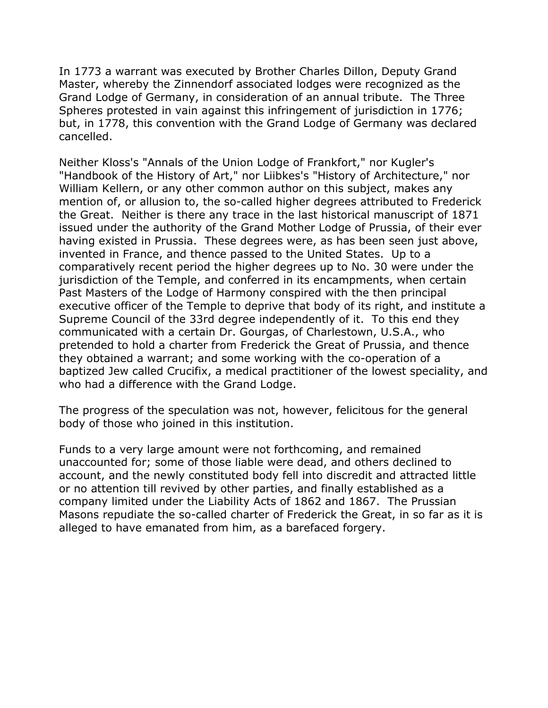In 1773 a warrant was executed by Brother Charles Dillon, Deputy Grand Master, whereby the Zinnendorf associated lodges were recognized as the Grand Lodge of Germany, in consideration of an annual tribute. The Three Spheres protested in vain against this infringement of jurisdiction in 1776; but, in 1778, this convention with the Grand Lodge of Germany was declared cancelled.

Neither Kloss's "Annals of the Union Lodge of Frankfort," nor Kugler's "Handbook of the History of Art," nor Liibkes's "History of Architecture," nor William Kellern, or any other common author on this subject, makes any mention of, or allusion to, the so-called higher degrees attributed to Frederick the Great. Neither is there any trace in the last historical manuscript of 1871 issued under the authority of the Grand Mother Lodge of Prussia, of their ever having existed in Prussia. These degrees were, as has been seen just above, invented in France, and thence passed to the United States. Up to a comparatively recent period the higher degrees up to No. 30 were under the jurisdiction of the Temple, and conferred in its encampments, when certain Past Masters of the Lodge of Harmony conspired with the then principal executive officer of the Temple to deprive that body of its right, and institute a Supreme Council of the 33rd degree independently of it. To this end they communicated with a certain Dr. Gourgas, of Charlestown, U.S.A., who pretended to hold a charter from Frederick the Great of Prussia, and thence they obtained a warrant; and some working with the co-operation of a baptized Jew called Crucifix, a medical practitioner of the lowest speciality, and who had a difference with the Grand Lodge.

The progress of the speculation was not, however, felicitous for the general body of those who joined in this institution.

Funds to a very large amount were not forthcoming, and remained unaccounted for; some of those liable were dead, and others declined to account, and the newly constituted body fell into discredit and attracted little or no attention till revived by other parties, and finally established as a company limited under the Liability Acts of 1862 and 1867. The Prussian Masons repudiate the so-called charter of Frederick the Great, in so far as it is alleged to have emanated from him, as a barefaced forgery.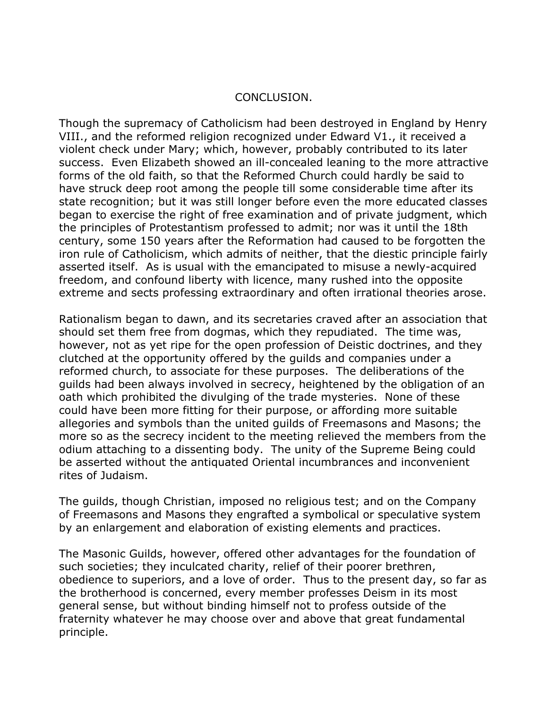#### CONCLUSION.

Though the supremacy of Catholicism had been destroyed in England by Henry VIII., and the reformed religion recognized under Edward V1., it received a violent check under Mary; which, however, probably contributed to its later success. Even Elizabeth showed an ill-concealed leaning to the more attractive forms of the old faith, so that the Reformed Church could hardly be said to have struck deep root among the people till some considerable time after its state recognition; but it was still longer before even the more educated classes began to exercise the right of free examination and of private judgment, which the principles of Protestantism professed to admit; nor was it until the 18th century, some 150 years after the Reformation had caused to be forgotten the iron rule of Catholicism, which admits of neither, that the diestic principle fairly asserted itself. As is usual with the emancipated to misuse a newly-acquired freedom, and confound liberty with licence, many rushed into the opposite extreme and sects professing extraordinary and often irrational theories arose.

Rationalism began to dawn, and its secretaries craved after an association that should set them free from dogmas, which they repudiated. The time was, however, not as yet ripe for the open profession of Deistic doctrines, and they clutched at the opportunity offered by the guilds and companies under a reformed church, to associate for these purposes. The deliberations of the guilds had been always involved in secrecy, heightened by the obligation of an oath which prohibited the divulging of the trade mysteries. None of these could have been more fitting for their purpose, or affording more suitable allegories and symbols than the united guilds of Freemasons and Masons; the more so as the secrecy incident to the meeting relieved the members from the odium attaching to a dissenting body. The unity of the Supreme Being could be asserted without the antiquated Oriental incumbrances and inconvenient rites of Judaism.

The guilds, though Christian, imposed no religious test; and on the Company of Freemasons and Masons they engrafted a symbolical or speculative system by an enlargement and elaboration of existing elements and practices.

The Masonic Guilds, however, offered other advantages for the foundation of such societies; they inculcated charity, relief of their poorer brethren, obedience to superiors, and a love of order. Thus to the present day, so far as the brotherhood is concerned, every member professes Deism in its most general sense, but without binding himself not to profess outside of the fraternity whatever he may choose over and above that great fundamental principle.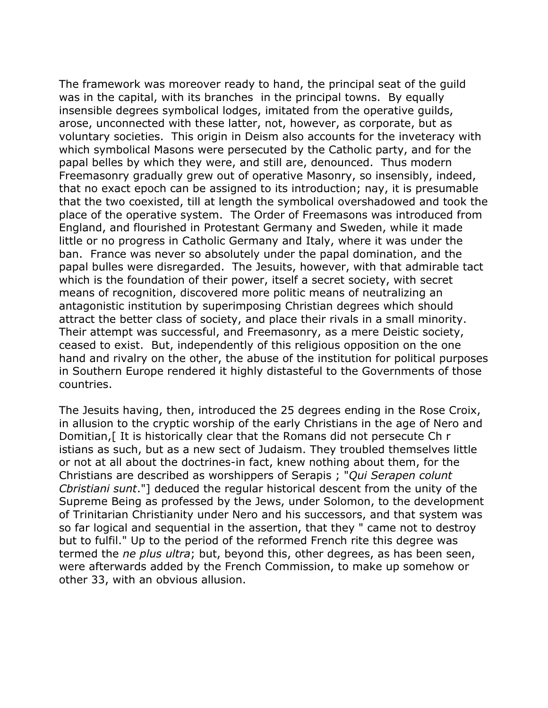The framework was moreover ready to hand, the principal seat of the guild was in the capital, with its branches in the principal towns. By equally insensible degrees symbolical lodges, imitated from the operative guilds, arose, unconnected with these latter, not, however, as corporate, but as voluntary societies. This origin in Deism also accounts for the inveteracy with which symbolical Masons were persecuted by the Catholic party, and for the papal belles by which they were, and still are, denounced. Thus modern Freemasonry gradually grew out of operative Masonry, so insensibly, indeed, that no exact epoch can be assigned to its introduction; nay, it is presumable that the two coexisted, till at length the symbolical overshadowed and took the place of the operative system. The Order of Freemasons was introduced from England, and flourished in Protestant Germany and Sweden, while it made little or no progress in Catholic Germany and Italy, where it was under the ban. France was never so absolutely under the papal domination, and the papal bulles were disregarded. The Jesuits, however, with that admirable tact which is the foundation of their power, itself a secret society, with secret means of recognition, discovered more politic means of neutralizing an antagonistic institution by superimposing Christian degrees which should attract the better class of society, and place their rivals in a small minority. Their attempt was successful, and Freemasonry, as a mere Deistic society, ceased to exist. But, independently of this religious opposition on the one hand and rivalry on the other, the abuse of the institution for political purposes in Southern Europe rendered it highly distasteful to the Governments of those countries.

The Jesuits having, then, introduced the 25 degrees ending in the Rose Croix, in allusion to the cryptic worship of the early Christians in the age of Nero and Domitian,[ It is historically clear that the Romans did not persecute Ch r istians as such, but as a new sect of Judaism. They troubled themselves little or not at all about the doctrines-in fact, knew nothing about them, for the Christians are described as worshippers of Serapis ; "*Qui Serapen colunt Cbristiani sunt*."] deduced the regular historical descent from the unity of the Supreme Being as professed by the Jews, under Solomon, to the development of Trinitarian Christianity under Nero and his successors, and that system was so far logical and sequential in the assertion, that they " came not to destroy but to fulfil." Up to the period of the reformed French rite this degree was termed the *ne plus ultra*; but, beyond this, other degrees, as has been seen, were afterwards added by the French Commission, to make up somehow or other 33, with an obvious allusion.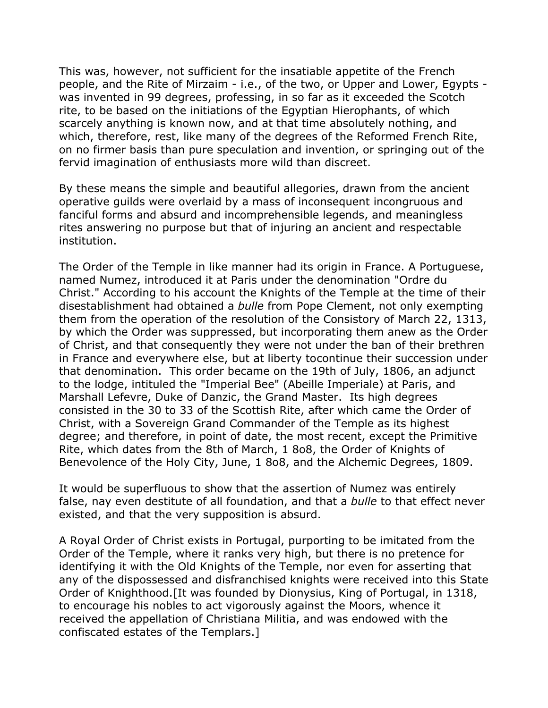This was, however, not sufficient for the insatiable appetite of the French people, and the Rite of Mirzaim - i.e., of the two, or Upper and Lower, Egypts was invented in 99 degrees, professing, in so far as it exceeded the Scotch rite, to be based on the initiations of the Egyptian Hierophants, of which scarcely anything is known now, and at that time absolutely nothing, and which, therefore, rest, like many of the degrees of the Reformed French Rite, on no firmer basis than pure speculation and invention, or springing out of the fervid imagination of enthusiasts more wild than discreet.

By these means the simple and beautiful allegories, drawn from the ancient operative guilds were overlaid by a mass of inconsequent incongruous and fanciful forms and absurd and incomprehensible legends, and meaningless rites answering no purpose but that of injuring an ancient and respectable institution.

The Order of the Temple in like manner had its origin in France. A Portuguese, named Numez, introduced it at Paris under the denomination "Ordre du Christ." According to his account the Knights of the Temple at the time of their disestablishment had obtained a *bulle* from Pope Clement, not only exempting them from the operation of the resolution of the Consistory of March 22, 1313, by which the Order was suppressed, but incorporating them anew as the Order of Christ, and that consequently they were not under the ban of their brethren in France and everywhere else, but at liberty tocontinue their succession under that denomination. This order became on the 19th of July, 1806, an adjunct to the lodge, intituled the "Imperial Bee" (Abeille Imperiale) at Paris, and Marshall Lefevre, Duke of Danzic, the Grand Master. Its high degrees consisted in the 30 to 33 of the Scottish Rite, after which came the Order of Christ, with a Sovereign Grand Commander of the Temple as its highest degree; and therefore, in point of date, the most recent, except the Primitive Rite, which dates from the 8th of March, 1 8o8, the Order of Knights of Benevolence of the Holy City, June, 1 8o8, and the Alchemic Degrees, 1809.

It would be superfluous to show that the assertion of Numez was entirely false, nay even destitute of all foundation, and that a *bulle* to that effect never existed, and that the very supposition is absurd.

A Royal Order of Christ exists in Portugal, purporting to be imitated from the Order of the Temple, where it ranks very high, but there is no pretence for identifying it with the Old Knights of the Temple, nor even for asserting that any of the dispossessed and disfranchised knights were received into this State Order of Knighthood.[It was founded by Dionysius, King of Portugal, in 1318, to encourage his nobles to act vigorously against the Moors, whence it received the appellation of Christiana Militia, and was endowed with the confiscated estates of the Templars.]